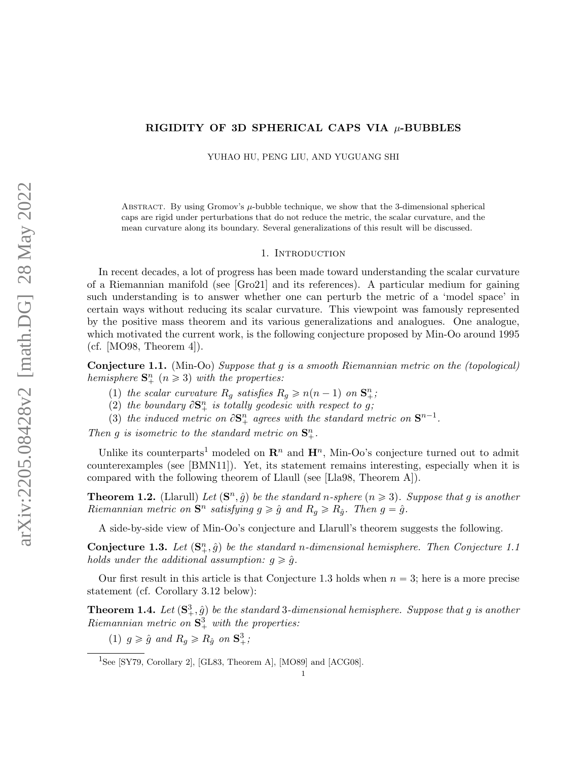# RIGIDITY OF 3D SPHERICAL CAPS VIA  $\mu$ -BUBBLES

YUHAO HU, PENG LIU, AND YUGUANG SHI

ABSTRACT. By using Gromov's  $\mu$ -bubble technique, we show that the 3-dimensional spherical caps are rigid under perturbations that do not reduce the metric, the scalar curvature, and the mean curvature along its boundary. Several generalizations of this result will be discussed.

# 1. INTRODUCTION

In recent decades, a lot of progress has been made toward understanding the scalar curvature of a Riemannian manifold (see [\[Gro21\]](#page-19-0) and its references). A particular medium for gaining such understanding is to answer whether one can perturb the metric of a 'model space' in certain ways without reducing its scalar curvature. This viewpoint was famously represented by the positive mass theorem and its various generalizations and analogues. One analogue, which motivated the current work, is the following conjecture proposed by Min-Oo around 1995 (cf. [\[MO98,](#page-19-1) Theorem 4]).

<span id="page-0-1"></span>Conjecture 1.1. (Min-Oo) Suppose that g is a smooth Riemannian metric on the (topological) hemisphere  $S_{+}^{n}$   $(n \geq 3)$  with the properties:

- (1) the scalar curvature  $R_g$  satisfies  $R_g \geq n(n-1)$  on  $\mathbf{S}_{+}^n$ ;
- (2) the boundary  $\partial \mathbf{S}_{+}^{n}$  is totally geodesic with respect to g;
- (3) the induced metric on  $\partial S^n_+$  agrees with the standard metric on  $S^{n-1}$ .

Then g is isometric to the standard metric on  $\mathbf{S}_{+}^{n}$ .

Unlike its counterparts<sup>[1](#page-0-0)</sup> modeled on  $\mathbb{R}^n$  and  $\mathbb{H}^n$ , Min-Oo's conjecture turned out to admit counterexamples (see [\[BMN11\]](#page-18-0)). Yet, its statement remains interesting, especially when it is compared with the following theorem of Llaull (see [\[Lla98,](#page-19-2) Theorem A]).

<span id="page-0-4"></span>**Theorem 1.2.** (Llarull) Let  $(\mathbf{S}^n, \hat{g})$  be the standard n-sphere  $(n \geq 3)$ . Suppose that g is another Riemannian metric on  $S<sup>n</sup>$  satisfying  $g \ge \hat{g}$  and  $R_g \ge R_{\hat{g}}$ . Then  $g = \hat{g}$ .

A side-by-side view of Min-Oo's conjecture and Llarull's theorem suggests the following.

<span id="page-0-2"></span>**Conjecture 1.3.** Let  $(\mathbf{S}_{+}^{n}, \hat{g})$  be the standard n-dimensional hemisphere. Then Conjecture [1.1](#page-0-1) holds under the additional assumption:  $q \geq \hat{q}$ .

Our first result in this article is that Conjecture [1.3](#page-0-2) holds when  $n = 3$ ; here is a more precise statement (cf. Corollary [3.12](#page-10-0) below):

<span id="page-0-3"></span>**Theorem 1.4.** Let  $(\mathbf{S}^3_+,\hat{g})$  be the standard 3-dimensional hemisphere. Suppose that g is another Riemannian metric on  $S^3_+$  with the properties:

(1)  $g \geq \hat{g}$  and  $R_g \geq R_{\hat{g}}$  on  $S^3_+$ ;

<span id="page-0-0"></span><sup>&</sup>lt;sup>1</sup>See [\[SY79,](#page-19-3) Corollary 2], [\[GL83,](#page-19-4) Theorem A], [\[MO89\]](#page-19-5) and [\[ACG08\]](#page-18-1).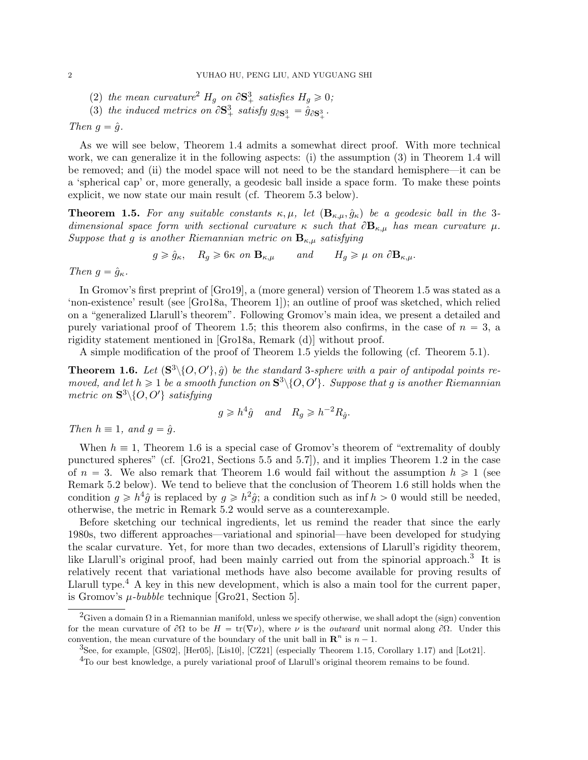- ([2](#page-1-0)) the mean curvature<sup>2</sup>  $H_g$  on  $\partial \mathbf{S}_+^3$  satisfies  $H_g \geq 0$ ;
- (3) the induced metrics on  $\partial S^3_+$  satisfy  $g_{\partial S^3_+} = \hat{g}_{\partial S^3_+}$ .

<span id="page-1-1"></span>Then  $g = \hat{g}$ .

As we will see below, Theorem [1.4](#page-0-3) admits a somewhat direct proof. With more technical work, we can generalize it in the following aspects: (i) the assumption [\(3\)](#page-1-1) in Theorem [1.4](#page-0-3) will be removed; and (ii) the model space will not need to be the standard hemisphere—it can be a 'spherical cap' or, more generally, a geodesic ball inside a space form. To make these points explicit, we now state our main result (cf. Theorem [5.3](#page-18-2) below).

<span id="page-1-2"></span>**Theorem 1.5.** For any suitable constants  $\kappa, \mu$ , let  $(\mathbf{B}_{\kappa,\mu}, \hat{g}_{\kappa})$  be a geodesic ball in the 3dimensional space form with sectional curvature  $\kappa$  such that  $\partial \mathbf{B}_{\kappa,\mu}$  has mean curvature  $\mu$ . Suppose that g is another Riemannian metric on  $\mathbf{B}_{\kappa,\mu}$  satisfying

 $g \ge \hat{g}_{\kappa}, \quad R_g \ge 6\kappa \text{ on } \mathbf{B}_{\kappa,\mu} \qquad \text{and} \qquad H_g \ge \mu \text{ on } \partial \mathbf{B}_{\kappa,\mu}.$ 

Then  $g = \hat{g}_{\kappa}$ .

In Gromov's first preprint of [\[Gro19\]](#page-19-6), a (more general) version of Theorem [1.5](#page-1-2) was stated as a 'non-existence' result (see [\[Gro18a,](#page-19-7) Theorem 1]); an outline of proof was sketched, which relied on a "generalized Llarull's theorem". Following Gromov's main idea, we present a detailed and purely variational proof of Theorem [1.5;](#page-1-2) this theorem also confirms, in the case of  $n = 3$ , a rigidity statement mentioned in [\[Gro18a,](#page-19-7) Remark (d)] without proof.

A simple modification of the proof of Theorem [1.5](#page-1-2) yields the following (cf. Theorem [5.1\)](#page-17-0).

<span id="page-1-3"></span>**Theorem 1.6.** Let  $(\mathbf{S}^3 \setminus \{O, O'\}, \hat{g})$  be the standard 3-sphere with a pair of antipodal points removed, and let  $h \geq 1$  be a smooth function on  $S^3 \setminus \{O, O'\}$ . Suppose that g is another Riemannian metric on  $\mathbf{S}^3 \setminus \{O, O'\}$  satisfying

$$
g \ge h^4 \hat{g}
$$
 and  $R_g \ge h^{-2} R_{\hat{g}}$ .

Then  $h \equiv 1$ , and  $g = \hat{g}$ .

When  $h \equiv 1$ , Theorem [1.6](#page-1-3) is a special case of Gromov's theorem of "extremality of doubly punctured spheres" (cf. [\[Gro21,](#page-19-0) Sections 5.5 and 5.7]), and it implies Theorem [1.2](#page-0-4) in the case of  $n = 3$ . We also remark that Theorem [1.6](#page-1-3) would fail without the assumption  $h \ge 1$  (see Remark [5.2](#page-18-3) below). We tend to believe that the conclusion of Theorem [1.6](#page-1-3) still holds when the condition  $g \geq h^4 \hat{g}$  is replaced by  $g \geq h^2 \hat{g}$ ; a condition such as inf  $h > 0$  would still be needed, otherwise, the metric in Remark [5.2](#page-18-3) would serve as a counterexample.

Before sketching our technical ingredients, let us remind the reader that since the early 1980s, two different approaches—variational and spinorial—have been developed for studying the scalar curvature. Yet, for more than two decades, extensions of Llarull's rigidity theorem, like Llarull's original proof, had been mainly carried out from the spinorial approach.<sup>[3](#page-1-4)</sup> It is relatively recent that variational methods have also become available for proving results of Llarull type.<sup>[4](#page-1-5)</sup> A key in this new development, which is also a main tool for the current paper, is Gromov's  $\mu$ -bubble technique [\[Gro21,](#page-19-0) Section 5].

<span id="page-1-0"></span><sup>&</sup>lt;sup>2</sup>Given a domain Ω in a Riemannian manifold, unless we specify otherwise, we shall adopt the (sign) convention for the mean curvature of  $\partial\Omega$  to be  $H = \text{tr}(\nabla \nu)$ , where  $\nu$  is the *outward* unit normal along  $\partial\Omega$ . Under this convention, the mean curvature of the boundary of the unit ball in  $\mathbb{R}^n$  is  $n-1$ .

<span id="page-1-4"></span><sup>&</sup>lt;sup>3</sup>See, for example, [\[GS02\]](#page-19-8), [\[Her05\]](#page-19-9), [\[Lis10\]](#page-19-10), [\[CZ21\]](#page-18-4) (especially Theorem 1.15, Corollary 1.17) and [\[Lot21\]](#page-19-11).

<span id="page-1-5"></span><sup>4</sup>To our best knowledge, a purely variational proof of Llarull's original theorem remains to be found.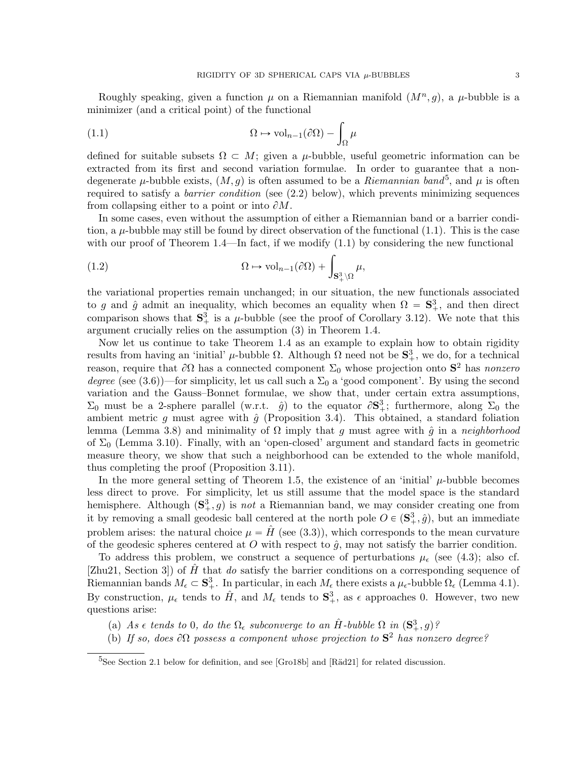Roughly speaking, given a function  $\mu$  on a Riemannian manifold  $(M^n, g)$ , a  $\mu$ -bubble is a minimizer (and a critical point) of the functional

<span id="page-2-1"></span>(1.1) 
$$
\Omega \mapsto \text{vol}_{n-1}(\partial \Omega) - \int_{\Omega} \mu
$$

defined for suitable subsets  $\Omega \subset M$ ; given a  $\mu$ -bubble, useful geometric information can be extracted from its first and second variation formulae. In order to guarantee that a nondegenerate  $\mu$ -bubble exists,  $(M, g)$  is often assumed to be a *Riemannian band*<sup>[5](#page-2-0)</sup>, and  $\mu$  is often required to satisfy a *barrier condition* (see  $(2.2)$  below), which prevents minimizing sequences from collapsing either to a point or into  $\partial M$ .

In some cases, even without the assumption of either a Riemannian band or a barrier condition, a  $\mu$ -bubble may still be found by direct observation of the functional [\(1.1\)](#page-2-1). This is the case with our proof of Theorem [1.4—](#page-0-3)In fact, if we modify  $(1.1)$  by considering the new functional

(1.2) 
$$
\Omega \mapsto \text{vol}_{n-1}(\partial \Omega) + \int_{\mathbf{S}_+^3 \setminus \Omega} \mu,
$$

the variational properties remain unchanged; in our situation, the new functionals associated to g and  $\hat{g}$  admit an inequality, which becomes an equality when  $\Omega = \mathbf{S}_{+}^{3}$ , and then direct comparison shows that  $S^3_+$  is a  $\mu$ -bubble (see the proof of Corollary [3.12\)](#page-10-0). We note that this argument crucially relies on the assumption [\(3\)](#page-1-1) in Theorem [1.4.](#page-0-3)

Now let us continue to take Theorem [1.4](#page-0-3) as an example to explain how to obtain rigidity results from having an 'initial'  $\mu$ -bubble  $\Omega$ . Although  $\Omega$  need not be  $S^3_+$ , we do, for a technical reason, require that  $\partial\Omega$  has a connected component  $\Sigma_0$  whose projection onto  $S^2$  has nonzero degree (see [\(3.6\)](#page-7-0))—for simplicity, let us call such a  $\Sigma_0$  a 'good component'. By using the second variation and the Gauss–Bonnet formulae, we show that, under certain extra assumptions,  $\Sigma_0$  must be a 2-sphere parallel (w.r.t.  $\hat{g}$ ) to the equator  $\partial S_+^3$ ; furthermore, along  $\Sigma_0$  the ambient metric q must agree with  $\hat{q}$  (Proposition [3.4\)](#page-7-1). This obtained, a standard foliation lemma (Lemma [3.8\)](#page-9-0) and minimality of  $\Omega$  imply that g must agree with  $\hat{g}$  in a neighborhood of  $\Sigma_0$  (Lemma [3.10\)](#page-9-1). Finally, with an 'open-closed' argument and standard facts in geometric measure theory, we show that such a neighborhood can be extended to the whole manifold, thus completing the proof (Proposition [3.11\)](#page-10-1).

In the more general setting of Theorem [1.5,](#page-1-2) the existence of an 'initial'  $\mu$ -bubble becomes less direct to prove. For simplicity, let us still assume that the model space is the standard hemisphere. Although  $(\mathbf{S}^3_+, g)$  is not a Riemannian band, we may consider creating one from it by removing a small geodesic ball centered at the north pole  $O \in (\mathbf{S}_+^3, \hat{g})$ , but an immediate problem arises: the natural choice  $\mu = \hat{H}$  (see [\(3.3\)](#page-6-0)), which corresponds to the mean curvature of the geodesic spheres centered at O with respect to  $\hat{q}$ , may not satisfy the barrier condition.

To address this problem, we construct a sequence of perturbations  $\mu_{\epsilon}$  (see [\(4.3\)](#page-11-0); also cf. [\[Zhu21,](#page-19-12) Section 3]) of  $\hat{H}$  that do satisfy the barrier conditions on a corresponding sequence of Riemannian bands  $M_{\epsilon} \subset \mathbf{S}_{+}^{3}$ . In particular, in each  $M_{\epsilon}$  there exists a  $\mu_{\epsilon}$ -bubble  $\Omega_{\epsilon}$  (Lemma [4.1\)](#page-12-0). By construction,  $\mu_{\epsilon}$  tends to  $\hat{H}$ , and  $M_{\epsilon}$  tends to  $S^3_+$ , as  $\epsilon$  approaches 0. However, two new questions arise:

- (a) As  $\epsilon$  tends to 0, do the  $\Omega_{\epsilon}$  subconverge to an  $\hat{H}$ -bubble  $\Omega$  in  $(\mathbf{S}^3_+, g)$ ?
- (b) If so, does  $\partial\Omega$  possess a component whose projection to  $S^2$  has nonzero degree?

<span id="page-2-0"></span> $5$ See Section [2.1](#page-3-0) below for definition, and see [\[Gro18b\]](#page-19-13) and [R $\ddot{a}d21$ ] for related discussion.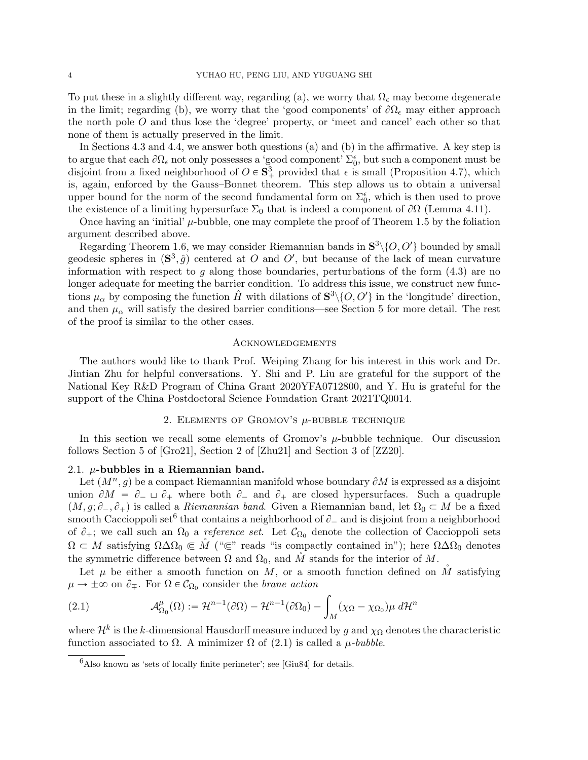To put these in a slightly different way, regarding (a), we worry that  $\Omega_{\epsilon}$  may become degenerate in the limit; regarding (b), we worry that the 'good components' of  $\partial\Omega_{\epsilon}$  may either approach the north pole O and thus lose the 'degree' property, or 'meet and cancel' each other so that none of them is actually preserved in the limit.

In Sections [4.3](#page-12-1) and [4.4,](#page-15-0) we answer both questions (a) and (b) in the affirmative. A key step is to argue that each  $\partial\Omega_\epsilon$  not only possesses a 'good component'  $\Sigma_0^\epsilon$ , but such a component must be disjoint from a fixed neighborhood of  $O \in \mathbf{S}_{+}^{3}$  provided that  $\epsilon$  is small (Proposition [4.7\)](#page-14-0), which is, again, enforced by the Gauss–Bonnet theorem. This step allows us to obtain a universal upper bound for the norm of the second fundamental form on  $\Sigma_0^{\epsilon}$ , which is then used to prove the existence of a limiting hypersurface  $\Sigma_0$  that is indeed a component of  $\partial\Omega$  (Lemma [4.11\)](#page-16-0).

Once having an 'initial'  $\mu$ -bubble, one may complete the proof of Theorem [1.5](#page-1-2) by the foliation argument described above.

Regarding Theorem [1.6,](#page-1-3) we may consider Riemannian bands in  $S^3\setminus\{O,O'\}$  bounded by small geodesic spheres in  $(\mathbf{S}^3, \hat{g})$  centered at O and O', but because of the lack of mean curvature information with respect to g along those boundaries, perturbations of the form  $(4.3)$  are no longer adequate for meeting the barrier condition. To address this issue, we construct new functions  $\mu_{\alpha}$  by composing the function  $\hat{H}$  with dilations of  $S^3 \setminus \{O, O'\}$  in the 'longitude' direction, and then  $\mu_{\alpha}$  will satisfy the desired barrier conditions—see Section [5](#page-17-1) for more detail. The rest of the proof is similar to the other cases.

#### **ACKNOWLEDGEMENTS**

The authors would like to thank Prof. Weiping Zhang for his interest in this work and Dr. Jintian Zhu for helpful conversations. Y. Shi and P. Liu are grateful for the support of the National Key R&D Program of China Grant 2020YFA0712800, and Y. Hu is grateful for the support of the China Postdoctoral Science Foundation Grant 2021TQ0014.

## 2. ELEMENTS OF GROMOV'S  $\mu$ -BUBBLE TECHNIQUE

In this section we recall some elements of Gromov's  $\mu$ -bubble technique. Our discussion follows Section 5 of [\[Gro21\]](#page-19-0), Section 2 of [\[Zhu21\]](#page-19-12) and Section 3 of [\[ZZ20\]](#page-19-15).

## <span id="page-3-0"></span>2.1.  $\mu$ -bubbles in a Riemannian band.

Let  $(M^n, g)$  be a compact Riemannian manifold whose boundary  $\partial M$  is expressed as a disjoint union  $\partial M = \partial_- \cup \partial_+$  where both  $\partial_-$  and  $\partial_+$  are closed hypersurfaces. Such a quadruple  $(M, g; \partial_-, \partial_+)$  is called a *Riemannian band*. Given a Riemannian band, let  $\Omega_0 \subset M$  be a fixed smooth Caccioppoli set<sup>[6](#page-3-1)</sup> that contains a neighborhood of  $\partial_-$  and is disjoint from a neighborhood of  $\partial_+$ ; we call such an  $\Omega_0$  a *reference set*. Let  $\mathcal{C}_{\Omega_0}$  denote the collection of Caccioppoli sets  $\Omega \subset M$  satisfying  $\Omega \Delta \Omega_0 \subset M$  (" $\subset$ " reads "is compactly contained in"); here  $\Omega \Delta \Omega_0$  denotes the symmetric difference between  $\Omega$  and  $\Omega_0$ , and M stands for the interior of M.

Let  $\mu$  be either a smooth function on M, or a smooth function defined on M<sup>n</sup> satisfying

<span id="page-3-2"></span>
$$
\mu \to \pm \infty \text{ on } \partial_{\mp}.
$$
 For  $\Omega \in C_{\Omega_0}$  consider the *brane action*  
(2.1) 
$$
\mathcal{A}_{\Omega_0}^{\mu}(\Omega) := \mathcal{H}^{n-1}(\partial \Omega) - \mathcal{H}^{n-1}(\partial \Omega_0) - \int_M (\chi_{\Omega} - \chi_{\Omega_0}) \mu \, d\mathcal{H}^n
$$

where  $\mathcal{H}^k$  is the k-dimensional Hausdorff measure induced by g and  $\chi_{\Omega}$  denotes the characteristic function associated to  $\Omega$ . A minimizer  $\Omega$  of [\(2.1\)](#page-3-2) is called a  $\mu$ -bubble.

<span id="page-3-1"></span> $6A$ lso known as 'sets of locally finite perimeter'; see [\[Giu84\]](#page-18-5) for details.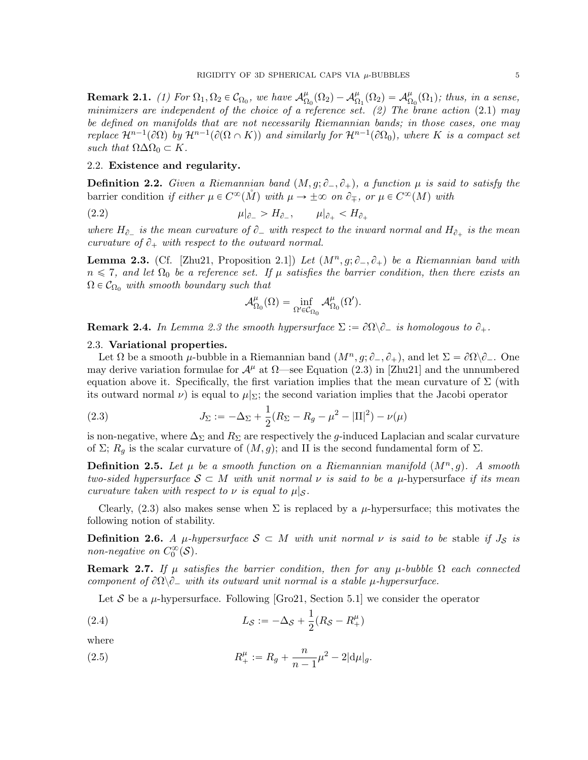**Remark 2.1.** (1) For  $\Omega_1, \Omega_2 \in C_{\Omega_0}$ , we have  $\mathcal{A}_{\Omega}^{\mu}$  $\frac{\mu}{\Omega_0}(\Omega_2)-\mathcal{A}_\Omega^\mu$  $\frac{\mu}{\Omega_1}(\Omega_2) = \mathcal{A}^{\mu}_{\Omega_1}$  $^{\mu}_{\Omega_0}(\Omega_1)$ ; thus, in a sense, minimizers are independent of the choice of a reference set. (2) The brane action  $(2.1)$  may be defined on manifolds that are not necessarily Riemannian bands; in those cases, one may replace  $\mathcal{H}^{n-1}(\partial\Omega)$  by  $\mathcal{H}^{n-1}(\partial(\Omega \cap K))$  and similarly for  $\mathcal{H}^{n-1}(\partial\Omega_0)$ , where K is a compact set such that  $\Omega \Delta \Omega_0 \subset K$ .

#### 2.2. Existence and regularity.

<span id="page-4-5"></span>**Definition 2.2.** Given a Riemannian band  $(M, g; \partial_-, \partial_+)$ , a function  $\mu$  is said to satisfy the barrier condition if either  $\mu \in C^{\infty}(\mathring{M})$  with  $\mu \to \pm \infty$  on  $\partial_{\mp}$ , or  $\mu \in C^{\infty}(M)$  with

$$
\mu|_{\partial_-} > H_{\partial_-}, \qquad \mu|_{\partial_+} < H_{\partial_+}
$$

where  $H_{\partial_-}$  is the mean curvature of  $\partial_-$  with respect to the inward normal and  $H_{\partial_+}$  is the mean curvature of  $\partial_+$  with respect to the outward normal.

<span id="page-4-1"></span>**Lemma 2.3.** (Cf. [\[Zhu21,](#page-19-12) Proposition 2.1]) Let  $(M^n, g; \partial_-, \partial_+)$  be a Riemannian band with  $n \leq 7$ , and let  $\Omega_0$  be a reference set. If  $\mu$  satisfies the barrier condition, then there exists an  $\Omega \in \mathcal{C}_{\Omega_0}$  with smooth boundary such that

<span id="page-4-0"></span>
$$
\mathcal{A}^{\mu}_{\Omega_0}(\Omega) = \inf_{\Omega' \in \mathcal{C}_{\Omega_0}} \mathcal{A}^{\mu}_{\Omega_0}(\Omega').
$$

**Remark 2.4.** In Lemma [2.3](#page-4-1) the smooth hypersurface  $\Sigma := \partial\Omega \backslash \partial$  is homologous to  $\partial_+$ .

#### 2.3. Variational properties.

Let  $\Omega$  be a smooth  $\mu$ -bubble in a Riemannian band  $(M^n, g; \partial_-, \partial_+)$ , and let  $\Sigma = \partial \Omega \backslash \partial_-$ . One may derive variation formulae for  $\mathcal{A}^{\mu}$  at  $\Omega$ —see Equation (2.3) in [\[Zhu21\]](#page-19-12) and the unnumbered equation above it. Specifically, the first variation implies that the mean curvature of  $\Sigma$  (with its outward normal  $\nu$ ) is equal to  $\mu|_{\Sigma}$ ; the second variation implies that the Jacobi operator

<span id="page-4-2"></span>(2.3) 
$$
J_{\Sigma} := -\Delta_{\Sigma} + \frac{1}{2}(R_{\Sigma} - R_g - \mu^2 - |\Pi|^2) - \nu(\mu)
$$

is non-negative, where  $\Delta_{\Sigma}$  and  $R_{\Sigma}$  are respectively the g-induced Laplacian and scalar curvature of  $\Sigma$ ;  $R_q$  is the scalar curvature of  $(M, g)$ ; and II is the second fundamental form of  $\Sigma$ .

**Definition 2.5.** Let  $\mu$  be a smooth function on a Riemannian manifold  $(M^n, g)$ . A smooth two-sided hypersurface  $S \subset M$  with unit normal  $\nu$  is said to be a  $\mu$ -hypersurface if its mean curvature taken with respect to  $\nu$  is equal to  $\mu|_{\mathcal{S}}$ .

Clearly, [\(2.3\)](#page-4-2) also makes sense when  $\Sigma$  is replaced by a  $\mu$ -hypersurface; this motivates the following notion of stability.

**Definition 2.6.** A  $\mu$ -hypersurface  $S \subset M$  with unit normal  $\nu$  is said to be stable if  $J_S$  is non-negative on  $C_0^{\infty}(\mathcal{S})$ .

**Remark 2.7.** If  $\mu$  satisfies the barrier condition, then for any  $\mu$ -bubble  $\Omega$  each connected component of  $\partial\Omega\backslash\partial_\mu$  with its outward unit normal is a stable  $\mu$ -hypersurface.

<span id="page-4-4"></span><span id="page-4-3"></span>Let S be a  $\mu$ -hypersurface. Following [\[Gro21,](#page-19-0) Section 5.1] we consider the operator

(2.4) 
$$
L_{S} := -\Delta_{S} + \frac{1}{2}(R_{S} - R_{+}^{\mu})
$$

where

(2.5) 
$$
R_+^{\mu} := R_g + \frac{n}{n-1} \mu^2 - 2|\mathrm{d}\mu|_g.
$$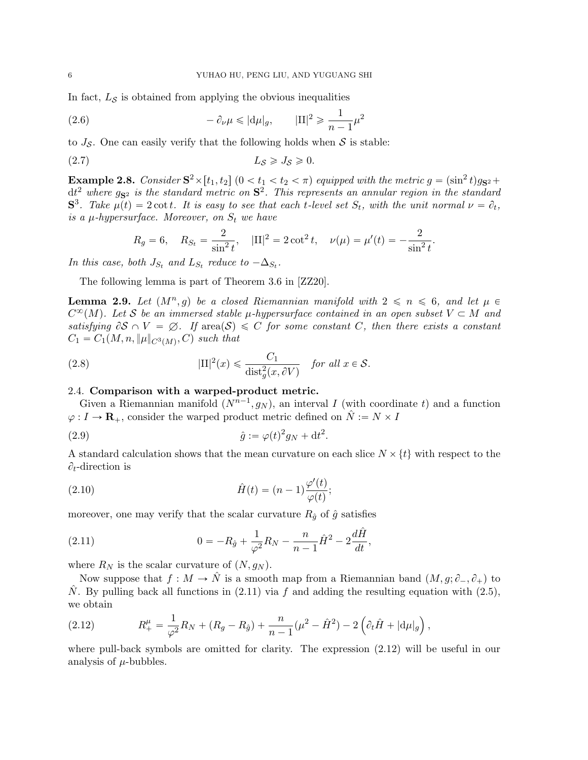In fact,  $L<sub>S</sub>$  is obtained from applying the obvious inequalities

<span id="page-5-4"></span>(2.6) 
$$
-\partial_{\nu}\mu \leqslant |\mathbf{d}\mu|_{g}, \qquad |\mathbf{II}|^{2} \geqslant \frac{1}{n-1}\mu^{2}
$$

to  $J_{\mathcal{S}}$ . One can easily verify that the following holds when  $\mathcal{S}$  is stable:

$$
(2.7) \t\t\t L_S \geqslant J_S \geqslant 0.
$$

**Example 2.8.** Consider  $S^2 \times [t_1, t_2]$   $(0 < t_1 < t_2 < \pi)$  equipped with the metric  $g = (\sin^2 t)g_{S^2} +$  $dt^2$  where  $g_{\mathbf{S}^2}$  is the standard metric on  $\mathbf{S}^2$ . This represents an annular region in the standard  $S^3$ . Take  $\mu(t) = 2 \cot t$ . It is easy to see that each t-level set  $S_t$ , with the unit normal  $\nu = \partial_t$ , is a  $\mu$ -hypersurface. Moreover, on  $S_t$  we have

<span id="page-5-5"></span>
$$
R_g = 6
$$
,  $R_{S_t} = \frac{2}{\sin^2 t}$ ,  $|\Pi|^2 = 2 \cot^2 t$ ,  $\nu(\mu) = \mu'(t) = -\frac{2}{\sin^2 t}$ .

In this case, both  $J_{S_t}$  and  $L_{S_t}$  reduce to  $-\Delta_{S_t}$ .

The following lemma is part of Theorem 3.6 in [\[ZZ20\]](#page-19-15).

<span id="page-5-6"></span>**Lemma 2.9.** Let  $(M^n, g)$  be a closed Riemannian manifold with  $2 \le n \le 6$ , and let  $\mu \in$  $C^{\infty}(M)$ . Let S be an immersed stable  $\mu$ -hypersurface contained in an open subset  $V \subset M$  and satisfying  $\partial S \cap V = \emptyset$ . If area $(S) \leq C$  for some constant C, then there exists a constant  $C_1 = C_1(M, n, \|\mu\|_{C^3(M)}, C)$  such that

(2.8) 
$$
|\text{II}|^2(x) \leq \frac{C_1}{\text{dist}_g^2(x, \partial V)} \quad \text{for all } x \in \mathcal{S}.
$$

# 2.4. Comparison with a warped-product metric.

Given a Riemannian manifold  $(N^{n-1}, g_N)$ , an interval I (with coordinate t) and a function  $\varphi: I \to \mathbf{R}_+$ , consider the warped product metric defined on  $\hat{N} := N \times I$ 

<span id="page-5-2"></span>
$$
\hat{g} := \varphi(t)^2 g_N + \mathrm{d}t^2.
$$

A standard calculation shows that the mean curvature on each slice  $N \times \{t\}$  with respect to the  $\partial_t$ -direction is

<span id="page-5-3"></span>(2.10) 
$$
\hat{H}(t) = (n-1)\frac{\varphi'(t)}{\varphi(t)};
$$

moreover, one may verify that the scalar curvature  $R_{\hat{g}}$  of  $\hat{g}$  satisfies

<span id="page-5-0"></span>(2.11) 
$$
0 = -R_{\hat{g}} + \frac{1}{\varphi^2} R_N - \frac{n}{n-1} \hat{H}^2 - 2 \frac{d\hat{H}}{dt},
$$

where  $R_N$  is the scalar curvature of  $(N, g_N)$ .

Now suppose that  $f : M \to \tilde{N}$  is a smooth map from a Riemannian band  $(M, g; \partial_-, \partial_+)$  to  $\hat{N}$ . By pulling back all functions in [\(2.11\)](#page-5-0) via f and adding the resulting equation with [\(2.5\)](#page-4-3), we obtain

<span id="page-5-1"></span>(2.12) 
$$
R_+^{\mu} = \frac{1}{\varphi^2} R_N + (R_g - R_{\hat{g}}) + \frac{n}{n-1} (\mu^2 - \hat{H}^2) - 2 (\partial_t \hat{H} + |\mathrm{d}\mu|_g),
$$

where pull-back symbols are omitted for clarity. The expression [\(2.12\)](#page-5-1) will be useful in our analysis of  $\mu$ -bubbles.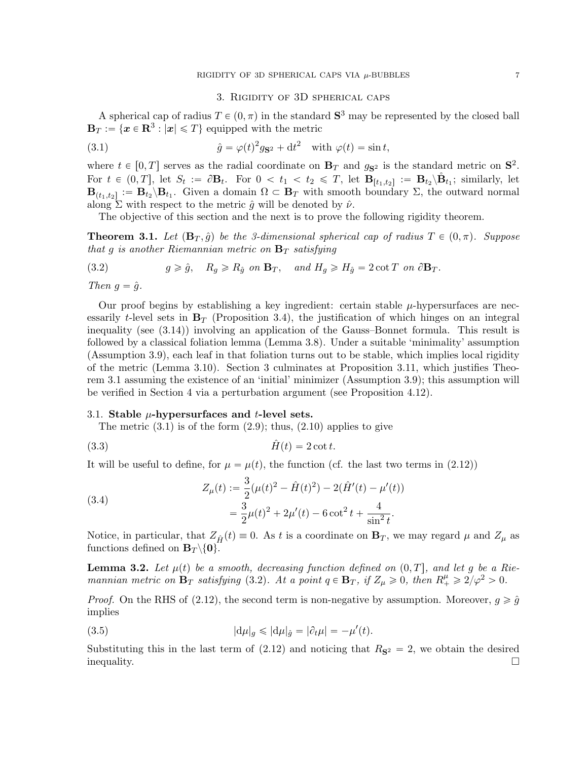# <span id="page-6-3"></span>3. Rigidity of 3D spherical caps

<span id="page-6-1"></span>A spherical cap of radius  $T \in (0, \pi)$  in the standard  $S^3$  may be represented by the closed ball  $\mathbf{B}_T := \{ \boldsymbol{x} \in \mathbf{R}^3 : |\boldsymbol{x}| \leqslant T \}$  equipped with the metric

(3.1) 
$$
\hat{g} = \varphi(t)^2 g_{\mathbf{S}^2} + dt^2 \quad \text{with } \varphi(t) = \sin t,
$$

where  $t \in [0, T]$  serves as the radial coordinate on  $\mathbf{B}_T$  and  $g_{\mathbf{S}^2}$  is the standard metric on  $\mathbf{S}^2$ . For  $t \in (0,T]$ , let  $S_t := \partial \mathbf{B}_t$ . For  $0 < t_1 < t_2 \leq T$ , let  $\mathbf{B}_{[t_1,t_2]} := \mathbf{B}_{t_2} \setminus \mathring{\mathbf{B}}_{t_1}$ ; similarly, let  $\mathbf{B}_{(t_1,t_2]} := \mathbf{B}_{t_2} \backslash \mathbf{B}_{t_1}$ . Given a domain  $\Omega \subset \mathbf{B}_T$  with smooth boundary  $\Sigma$ , the outward normal along  $\Sigma$  with respect to the metric  $\hat{g}$  will be denoted by  $\hat{\nu}$ .

The objective of this section and the next is to prove the following rigidity theorem.

<span id="page-6-2"></span>**Theorem 3.1.** Let  $(\mathbf{B}_T, \hat{g})$  be the 3-dimensional spherical cap of radius  $T \in (0, \pi)$ . Suppose that g is another Riemannian metric on  $\mathbf{B}_T$  satisfying

<span id="page-6-4"></span>(3.2) 
$$
g \ge \hat{g}, \quad R_g \ge R_{\hat{g}} \text{ on } \mathbf{B}_T, \quad \text{and } H_g \ge H_{\hat{g}} = 2 \cot T \text{ on } \partial \mathbf{B}_T.
$$

Then  $g = \hat{g}$ .

Our proof begins by establishing a key ingredient: certain stable  $\mu$ -hypersurfaces are necessarily t-level sets in  $\mathbf{B}_T$  (Proposition [3.4\)](#page-7-1), the justification of which hinges on an integral inequality (see [\(3.14\)](#page-8-0)) involving an application of the Gauss–Bonnet formula. This result is followed by a classical foliation lemma (Lemma [3.8\)](#page-9-0). Under a suitable 'minimality' assumption (Assumption [3.9\)](#page-9-2), each leaf in that foliation turns out to be stable, which implies local rigidity of the metric (Lemma [3.10\)](#page-9-1). Section [3](#page-6-1) culminates at Proposition [3.11,](#page-10-1) which justifies Theorem [3.1](#page-6-2) assuming the existence of an 'initial' minimizer (Assumption [3.9\)](#page-9-2); this assumption will be verified in Section [4](#page-11-1) via a perturbation argument (see Proposition [4.12\)](#page-17-2).

#### 3.1. Stable  $\mu$ -hypersurfaces and *t*-level sets.

<span id="page-6-0"></span>The metric  $(3.1)$  is of the form  $(2.9)$ ; thus,  $(2.10)$  applies to give

$$
\hat{H}(t) = 2 \cot t.
$$

It will be useful to define, for  $\mu = \mu(t)$ , the function (cf. the last two terms in [\(2.12\)](#page-5-1))

<span id="page-6-6"></span>(3.4)  

$$
Z_{\mu}(t) := \frac{3}{2}(\mu(t)^{2} - \hat{H}(t)^{2}) - 2(\hat{H}'(t) - \mu'(t))
$$

$$
= \frac{3}{2}\mu(t)^{2} + 2\mu'(t) - 6\cot^{2}t + \frac{4}{\sin^{2}t}.
$$

Notice, in particular, that  $Z_{\hat{H}}(t) \equiv 0$ . As t is a coordinate on  $\mathbf{B}_T$ , we may regard  $\mu$  and  $Z_{\mu}$  as functions defined on  $\mathbf{B}_T \setminus \{0\}.$ 

<span id="page-6-5"></span>**Lemma 3.2.** Let  $\mu(t)$  be a smooth, decreasing function defined on  $(0, T]$ , and let g be a Riemannian metric on  $\mathbf{B}_T$  satisfying [\(3.2\)](#page-6-4). At a point  $q \in \mathbf{B}_T$ , if  $Z_\mu \geq 0$ , then  $R_+^\mu \geq 2/\varphi^2 > 0$ .

*Proof.* On the RHS of [\(2.12\)](#page-5-1), the second term is non-negative by assumption. Moreover,  $g \geq \hat{g}$ implies

(3.5) 
$$
|\mathrm{d}\mu|_g \leqslant |\mathrm{d}\mu|_{\hat{g}} = |\partial_t \mu| = -\mu'(t).
$$

Substituting this in the last term of  $(2.12)$  and noticing that  $R_{\mathbf{S}^2} = 2$ , we obtain the desired  $\Box$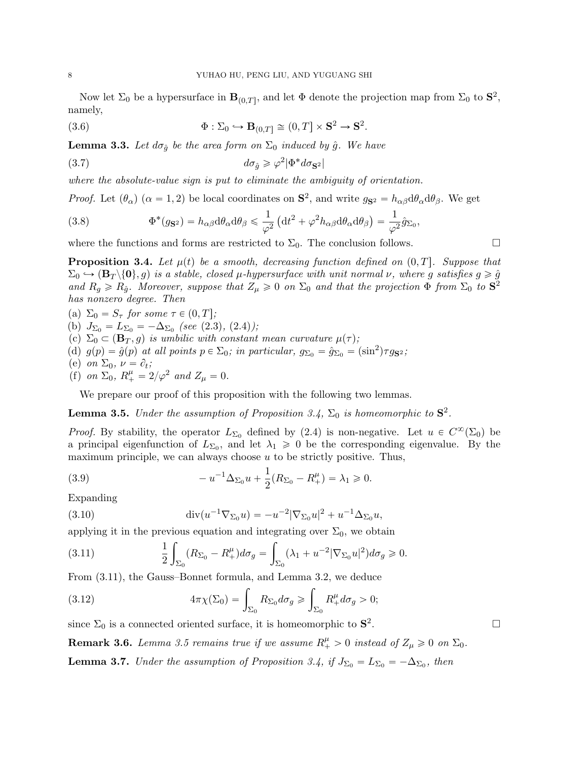Now let  $\Sigma_0$  be a hypersurface in  $\mathbf{B}_{(0,T]}$ , and let  $\Phi$  denote the projection map from  $\Sigma_0$  to  $\mathbf{S}^2$ , namely,

<span id="page-7-0"></span>(3.6) 
$$
\Phi : \Sigma_0 \hookrightarrow \mathbf{B}_{(0,T]} \cong (0,T] \times \mathbf{S}^2 \to \mathbf{S}^2.
$$

<span id="page-7-4"></span>**Lemma 3.3.** Let  $d\sigma_{\hat{q}}$  be the area form on  $\Sigma_0$  induced by  $\hat{g}$ . We have

$$
(3.7) \t\t d\sigma_{\hat{g}} \geq \varphi^2 |\Phi^* d\sigma_{\mathbf{S}^2}|
$$

where the absolute-value sign is put to eliminate the ambiguity of orientation.

*Proof.* Let  $(\theta_{\alpha})$  ( $\alpha = 1, 2$ ) be local coordinates on  $S^2$ , and write  $g_{S^2} = h_{\alpha\beta} d\theta_{\alpha} d\theta_{\beta}$ . We get

(3.8) 
$$
\Phi^*(g_{\mathbf{S}^2}) = h_{\alpha\beta} \mathrm{d} \theta_\alpha \mathrm{d} \theta_\beta \leq \frac{1}{\varphi^2} \left( \mathrm{d} t^2 + \varphi^2 h_{\alpha\beta} \mathrm{d} \theta_\alpha \mathrm{d} \theta_\beta \right) = \frac{1}{\varphi^2} \hat{g}_{\Sigma_0},
$$

where the functions and forms are restricted to  $\Sigma_0$ . The conclusion follows.

<span id="page-7-1"></span>**Proposition 3.4.** Let  $\mu(t)$  be a smooth, decreasing function defined on  $(0, T]$ . Suppose that  $\Sigma_0 \hookrightarrow (\mathbf{B}_T \setminus \{0\}, g)$  is a stable, closed  $\mu$ -hypersurface with unit normal  $\nu$ , where g satisfies  $g \geqslant \hat{g}$ and  $R_g \ge R_{\hat{g}}$ . Moreover, suppose that  $Z_{\mu} \ge 0$  on  $\Sigma_0$  and that the projection  $\Phi$  from  $\Sigma_0$  to  $S^2$ has nonzero degree. Then

<span id="page-7-11"></span><span id="page-7-10"></span><span id="page-7-9"></span><span id="page-7-7"></span>(a)  $\Sigma_0 = S_\tau$  for some  $\tau \in (0, T];$ (b)  $J_{\Sigma_0} = L_{\Sigma_0} = -\Delta_{\Sigma_0}$  (see [\(2.3\)](#page-4-2), [\(2.4\)](#page-4-4)); (c)  $\Sigma_0 \subset (\mathbf{B}_T, g)$  is umbilic with constant mean curvature  $\mu(\tau)$ ; (d)  $g(p) = \hat{g}(p)$  at all points  $p \in \Sigma_0$ ; in particular,  $g_{\Sigma_0} = \hat{g}_{\Sigma_0} = (\sin^2) \tau g_{\mathbf{S}^2}$ ; (e) on  $\Sigma_0$ ,  $\nu = \partial_t$ ; (f) on  $\Sigma_0$ ,  $R_+^{\mu} = 2/\varphi^2$  and  $Z_{\mu} = 0$ .

<span id="page-7-13"></span><span id="page-7-12"></span>We prepare our proof of this proposition with the following two lemmas.

<span id="page-7-3"></span>**Lemma 3.5.** Under the assumption of Proposition [3.4,](#page-7-1)  $\Sigma_0$  is homeomorphic to  $S^2$ .

*Proof.* By stability, the operator  $L_{\Sigma_0}$  defined by [\(2.4\)](#page-4-4) is non-negative. Let  $u \in C^{\infty}(\Sigma_0)$  be a principal eigenfunction of  $L_{\Sigma_0}$ , and let  $\lambda_1 \geq 0$  be the corresponding eigenvalue. By the maximum principle, we can always choose  $u$  to be strictly positive. Thus,

<span id="page-7-6"></span>(3.9) 
$$
-u^{-1}\Delta_{\Sigma_0}u + \frac{1}{2}(R_{\Sigma_0} - R_+^{\mu}) = \lambda_1 \geq 0.
$$

Expanding

(3.10) 
$$
\operatorname{div}(u^{-1}\nabla_{\Sigma_0}u) = -u^{-2}|\nabla_{\Sigma_0}u|^2 + u^{-1}\Delta_{\Sigma_0}u,
$$

applying it in the previous equation and integrating over  $\Sigma_0$ , we obtain

<span id="page-7-2"></span>(3.11) 
$$
\frac{1}{2} \int_{\Sigma_0} (R_{\Sigma_0} - R_+^{\mu}) d\sigma_g = \int_{\Sigma_0} (\lambda_1 + u^{-2} |\nabla_{\Sigma_0} u|^2) d\sigma_g \ge 0.
$$

<span id="page-7-5"></span>

From (3.11), the Gauss-Bonnet formula, and Lemma 3.2, we deduce  
(3.12) 
$$
4\pi\chi(\Sigma_0) = \int_{\Sigma_0} R_{\Sigma_0} d\sigma_g \ge \int_{\Sigma_0} R_+^{\mu} d\sigma_g > 0;
$$

since  $\Sigma_0$  is a connected oriented surface, it is homeomorphic to  $S^2$ 

<span id="page-7-14"></span>**Remark 3.6.** Lemma [3.5](#page-7-3) remains true if we assume  $R_+^{\mu} > 0$  instead of  $Z_{\mu} \geq 0$  on  $\Sigma_0$ .

<span id="page-7-8"></span>**Lemma 3.7.** Under the assumption of Proposition [3.4,](#page-7-1) if  $J_{\Sigma_0} = L_{\Sigma_0} = -\Delta_{\Sigma_0}$ , then

.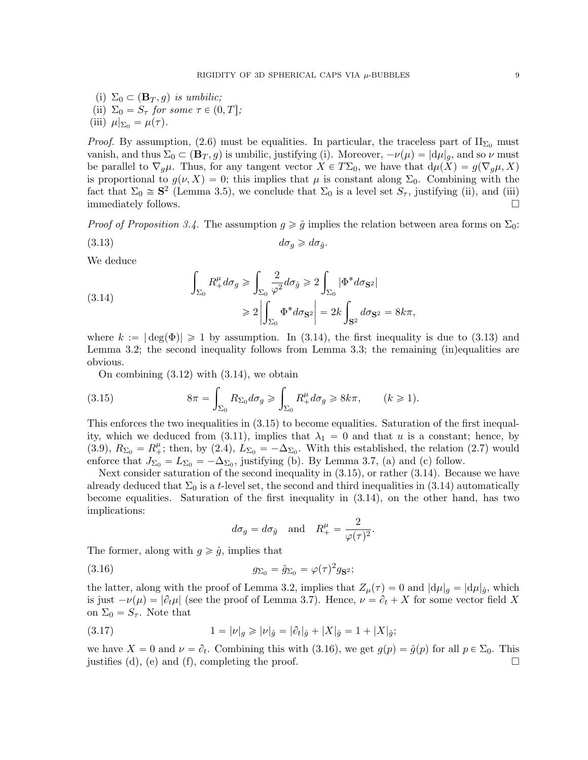(i)  $\Sigma_0 \subset (\mathbf{B}_T, g)$  is umbilic; (ii)  $\Sigma_0 = S_\tau$  for some  $\tau \in (0, T];$ (iii)  $\mu|_{\Sigma_0} = \mu(\tau)$ .

*Proof.* By assumption, [\(2.6\)](#page-5-4) must be equalities. In particular, the traceless part of  $II_{\Sigma_0}$  must vanish, and thus  $\Sigma_0 \subset (\mathbf{B}_T, g)$  is umbilic, justifying (i). Moreover,  $-\nu(\mu) = |d\mu|_q$ , and so  $\nu$  must be parallel to  $\nabla_g \mu$ . Thus, for any tangent vector  $X \in T\Sigma_0$ , we have that  $d\mu(X) = g(\nabla_g \mu, X)$ is proportional to  $g(\nu, X) = 0$ ; this implies that  $\mu$  is constant along  $\Sigma_0$ . Combining with the fact that  $\Sigma_0 \cong S^2$  (Lemma [3.5\)](#page-7-3), we conclude that  $\Sigma_0$  is a level set  $S_{\tau}$ , justifying (ii), and (iii) immediately follows.  $\Box$ 

*Proof of Proposition [3.4.](#page-7-1)* The assumption  $g \geq \hat{g}$  implies the relation between area forms on  $\Sigma_0$ :

<span id="page-8-1"></span>
$$
(3.13) \t\t d\sigma_g \geq d\sigma_{\hat{g}}.
$$

We deduce

<span id="page-8-0"></span>(3.14) 
$$
\int_{\Sigma_0} R_+^{\mu} d\sigma_g \ge \int_{\Sigma_0} \frac{2}{\varphi^2} d\sigma_{\hat{g}} \ge 2 \int_{\Sigma_0} |\Phi^* d\sigma_{\mathbf{S}^2}|
$$

$$
\ge 2 \left| \int_{\Sigma_0} \Phi^* d\sigma_{\mathbf{S}^2} \right| = 2k \int_{\mathbf{S}^2} d\sigma_{\mathbf{S}^2} = 8k\pi,
$$

where  $k := |\deg(\Phi)| \ge 1$  by assumption. In [\(3.14\)](#page-8-0), the first inequality is due to [\(3.13\)](#page-8-1) and Lemma [3.2;](#page-6-5) the second inequality follows from Lemma [3.3;](#page-7-4) the remaining (in)equalities are obvious.

<span id="page-8-2"></span>On combining  $(3.12)$  with  $(3.14)$ , we obtain

(3.15) 
$$
8\pi = \int_{\Sigma_0} R_{\Sigma_0} d\sigma_g \ge \int_{\Sigma_0} R_+^{\mu} d\sigma_g \ge 8k\pi, \qquad (k \ge 1).
$$

This enforces the two inequalities in [\(3.15\)](#page-8-2) to become equalities. Saturation of the first inequal-ity, which we deduced from [\(3.11\)](#page-7-2), implies that  $\lambda_1 = 0$  and that u is a constant; hence, by [\(3.9\)](#page-7-6),  $R_{\Sigma_0} = R_+^{\mu}$ ; then, by [\(2.4\)](#page-4-4),  $L_{\Sigma_0} = -\Delta_{\Sigma_0}$ . With this established, the relation [\(2.7\)](#page-5-5) would enforce that  $J_{\Sigma_0} = L_{\Sigma_0} = -\Delta_{\Sigma_0}$ , justifying [\(b\)](#page-7-7). By Lemma [3.7,](#page-7-8) [\(a\)](#page-7-9) and [\(c\)](#page-7-10) follow.

Next consider saturation of the second inequality in [\(3.15\)](#page-8-2), or rather [\(3.14\)](#page-8-0). Because we have already deduced that  $\Sigma_0$  is a t-level set, the second and third inequalities in [\(3.14\)](#page-8-0) automatically become equalities. Saturation of the first inequality in [\(3.14\)](#page-8-0), on the other hand, has two implications:

<span id="page-8-3"></span>
$$
d\sigma_g = d\sigma_{\hat{g}}
$$
 and  $R_+^{\mu} = \frac{2}{\varphi(\tau)^2}$ .

The former, along with  $g \ge \hat{g}$ , implies that

(3.16) gΣ<sup>0</sup> " gˆΣ<sup>0</sup> " ϕpτ q 2 gS<sup>2</sup> ;

the latter, along with the proof of Lemma [3.2,](#page-6-5) implies that  $Z_{\mu}(\tau) = 0$  and  $|d\mu|_q = |d\mu|_{\hat{q}}$ , which is just  $-\nu(\mu) = |\partial_t \mu|$  (see the proof of Lemma [3.7\)](#page-7-8). Hence,  $\nu = \partial_t + X$  for some vector field X on  $\Sigma_0 = S_\tau$ . Note that

(3.17) 
$$
1 = |\nu|_g \ge |\nu|_{\hat{g}} = |\partial_t|_{\hat{g}} + |X|_{\hat{g}} = 1 + |X|_{\hat{g}};
$$

we have  $X = 0$  and  $\nu = \partial_t$ . Combining this with [\(3.16\)](#page-8-3), we get  $g(p) = \hat{g}(p)$  for all  $p \in \Sigma_0$ . This justifies [\(d\)](#page-7-11), [\(e\)](#page-7-12) and [\(f\)](#page-7-13), completing the proof.  $\square$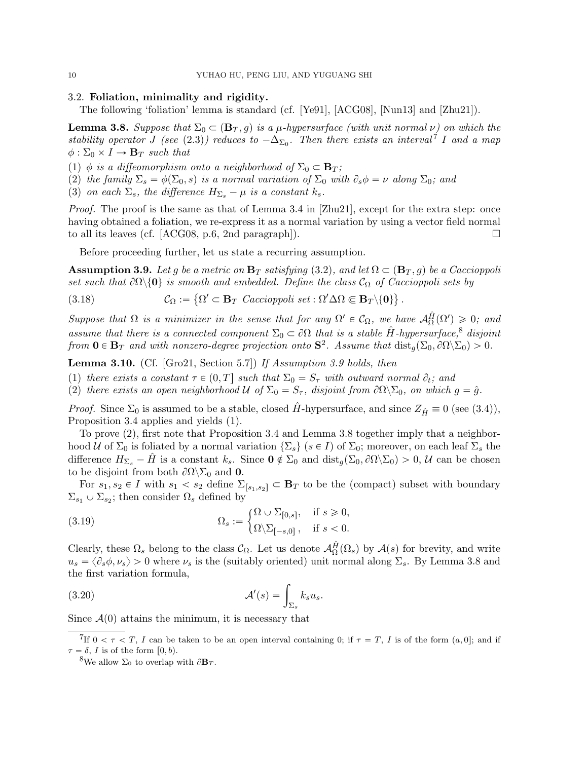## 3.2. Foliation, minimality and rigidity.

The following 'foliation' lemma is standard (cf. [\[Ye91\]](#page-19-16), [\[ACG08\]](#page-18-1), [\[Nun13\]](#page-19-17) and [\[Zhu21\]](#page-19-12)).

<span id="page-9-0"></span>**Lemma 3.8.** Suppose that  $\Sigma_0 \subset (\mathbf{B}_T, g)$  is a  $\mu$ -hypersurface (with unit normal  $\nu$ ) on which the stability operator J (see [\(2.3\)](#page-4-2)) reduces to  $-\Delta_{\Sigma_0}$ . Then there exists an interval<sup>[7](#page-9-3)</sup> I and a map  $\phi : \Sigma_0 \times I \to \mathbf{B}_T$  such that

(1)  $\phi$  is a diffeomorphism onto a neighborhood of  $\Sigma_0 \subset \mathbf{B}_T$ ;

(2) the family  $\Sigma_s = \phi(\Sigma_0, s)$  is a normal variation of  $\Sigma_0$  with  $\partial_s \phi = \nu$  along  $\Sigma_0$ ; and

(3) on each  $\Sigma_s$ , the difference  $H_{\Sigma_s} - \mu$  is a constant  $k_s$ .

Proof. The proof is the same as that of Lemma 3.4 in [\[Zhu21\]](#page-19-12), except for the extra step: once having obtained a foliation, we re-express it as a normal variation by using a vector field normal to all its leaves (cf. [\[ACG08,](#page-18-1) p.6, 2nd paragraph]).  $\Box$ 

Before proceeding further, let us state a recurring assumption.

<span id="page-9-2"></span>**Assumption 3.9.** Let g be a metric on  $\mathbf{B}_T$  satisfying [\(3.2\)](#page-6-4), and let  $\Omega \subset (\mathbf{B}_T, g)$  be a Caccioppoli set such that  $\partial\Omega\backslash\{0\}$  is smooth and embedded. Define the class  $\mathcal{C}_{\Omega}$  of Caccioppoli sets by

(3.18) 
$$
\mathcal{C}_{\Omega} := \left\{ \Omega' \subset \mathbf{B}_T \ \text{Caccioppoli set} : \Omega' \Delta \Omega \Subset \mathbf{B}_T \backslash \{0\} \right\}.
$$

Suppose that  $\Omega$  is a minimizer in the sense that for any  $\Omega' \in \mathcal{C}_{\Omega}$ , we have  $\mathcal{A}_{\Omega}^{\hat{H}}(\Omega') \geq 0$ ; and assume that there is a connected component  $\Sigma_0 \subset \partial\Omega$  that is a stable  $\hat{H}$ -hypersurface,<sup>[8](#page-9-4)</sup> disjoint from  $\mathbf{0} \in \mathbf{B}_T$  and with nonzero-degree projection onto  $\mathbf{S}^2$ . Assume that  $\text{dist}_g(\Sigma_0, \partial \Omega \setminus \Sigma_0) > 0$ .

<span id="page-9-1"></span>Lemma 3.10. (Cf. [\[Gro21,](#page-19-0) Section 5.7]) If Assumption [3.9](#page-9-2) holds, then

(1) there exists a constant  $\tau \in (0, T]$  such that  $\Sigma_0 = S_{\tau}$  with outward normal  $\partial_t$ ; and

(2) there exists an open neighborhood U of  $\Sigma_0 = S_\tau$ , disjoint from  $\partial \Omega \backslash \Sigma_0$ , on which  $g = \hat{g}$ .

*Proof.* Since  $\Sigma_0$  is assumed to be a stable, closed H-hypersurface, and since  $Z_{\hat{H}} \equiv 0$  (see [\(3.4\)](#page-6-6)), Proposition [3.4](#page-7-1) applies and yields (1).

To prove (2), first note that Proposition [3.4](#page-7-1) and Lemma [3.8](#page-9-0) together imply that a neighborhood U of  $\Sigma_0$  is foliated by a normal variation  $\{\Sigma_s\}$   $(s \in I)$  of  $\Sigma_0$ ; moreover, on each leaf  $\Sigma_s$  the difference  $H_{\Sigma_s} - \hat{H}$  is a constant  $k_s$ . Since  $\mathbf{0} \notin \Sigma_0$  and  $\text{dist}_q(\Sigma_0, \partial \Omega \setminus \Sigma_0) > 0$ , U can be chosen to be disjoint from both  $\partial\Omega\backslash\Sigma_0$  and **0**.

For  $s_1, s_2 \in I$  with  $s_1 < s_2$  define  $\Sigma_{s_1,s_2} \subset \mathbf{B}_T$  to be the (compact) subset with boundary  $\Sigma_{s_1} \cup \Sigma_{s_2}$ ; then consider  $\Omega_s$  defined by "

(3.19) 
$$
\Omega_s := \begin{cases} \Omega \cup \Sigma_{[0,s]}, & \text{if } s \geq 0, \\ \Omega \backslash \Sigma_{[-s,0]}, & \text{if } s < 0. \end{cases}
$$

Clearly, these  $\Omega_s$  belong to the class  $\mathcal{C}_{\Omega}$ . Let us denote  $\mathcal{A}_{\Omega}^{\hat{H}}(\Omega_s)$  by  $\mathcal{A}(s)$  for brevity, and write  $u_s = \langle \partial_s \phi, \nu_s \rangle > 0$  where  $\nu_s$  is the (suitably oriented) unit normal along  $\Sigma_s$ . By Lemma [3.8](#page-9-0) and the first variation formula,

(3.20) 
$$
\mathcal{A}'(s) = \int_{\Sigma_s} k_s u_s.
$$

Since  $\mathcal{A}(0)$  attains the minimum, it is necessary that

<span id="page-9-3"></span><sup>&</sup>lt;sup>7</sup>If  $0 < \tau < T$ , I can be taken to be an open interval containing 0; if  $\tau = T$ , I is of the form  $(a, 0]$ ; and if  $\tau = \delta$ , I is of the form  $[0, b)$ .

<span id="page-9-4"></span><sup>&</sup>lt;sup>8</sup>We allow  $\Sigma_0$  to overlap with  $\partial \mathbf{B}_T$ .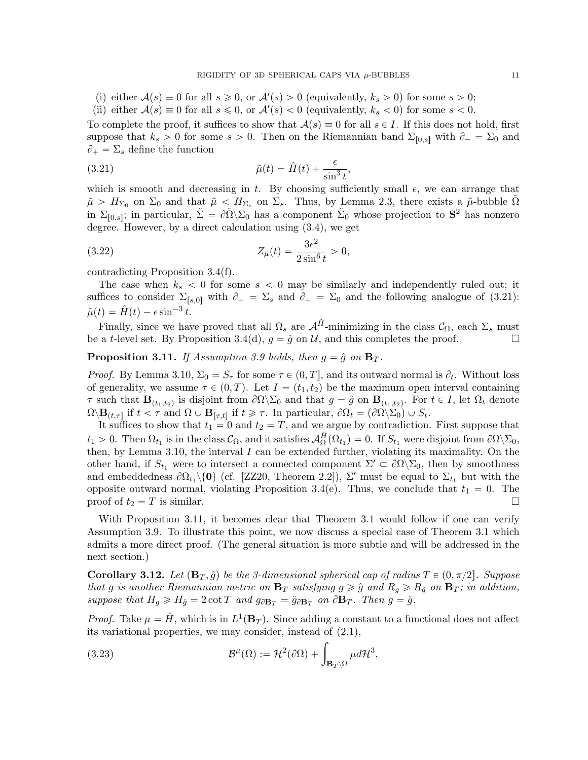- (i) either  $A(s) \equiv 0$  for all  $s \ge 0$ , or  $A'(s) > 0$  (equivalently,  $k_s > 0$ ) for some  $s > 0$ ;
- (ii) either  $A(s) \equiv 0$  for all  $s \leq 0$ , or  $A'(s) < 0$  (equivalently,  $k_s < 0$ ) for some  $s < 0$ .

To complete the proof, it suffices to show that  $\mathcal{A}(s) \equiv 0$  for all  $s \in I$ . If this does not hold, first suppose that  $k_s > 0$  for some  $s > 0$ . Then on the Riemannian band  $\Sigma_{[0,s]}$  with  $\partial_- = \Sigma_0$  and  $\partial_+ = \Sigma_s$  define the function

<span id="page-10-2"></span>(3.21) 
$$
\tilde{\mu}(t) = \hat{H}(t) + \frac{\epsilon}{\sin^3 t},
$$

which is smooth and decreasing in t. By choosing sufficiently small  $\epsilon$ , we can arrange that  $\tilde{\mu} > H_{\Sigma_0}$  on  $\Sigma_0$  and that  $\tilde{\mu} < H_{\Sigma_s}$  on  $\Sigma_s$ . Thus, by Lemma [2.3,](#page-4-1) there exists a  $\tilde{\mu}$ -bubble  $\tilde{\Omega}$ in  $\Sigma_{[0,s]}$ ; in particular,  $\tilde{\Sigma} = \partial \tilde{\Omega} \backslash \Sigma_0$  has a component  $\tilde{\Sigma}_0$  whose projection to  $S^2$  has nonzero degree. However, by a direct calculation using [\(3.4\)](#page-6-6), we get

(3.22) 
$$
Z_{\tilde{\mu}}(t) = \frac{3\epsilon^2}{2\sin^6 t} > 0,
$$

contradicting Proposition [3.4\(](#page-7-1)[f\)](#page-7-13).

The case when  $k_s < 0$  for some  $s < 0$  may be similarly and independently ruled out; it suffices to consider  $\Sigma_{s,0}$  with  $\partial_- = \Sigma_s$  and  $\partial_+ = \Sigma_0$  and the following analogue of [\(3.21\)](#page-10-2):  $\tilde{\mu}(t) = \hat{H}(t) - \epsilon \sin^{-3} t.$ 

Finally, since we have proved that all  $\Omega_s$  are  $\mathcal{A}^{\hat{H}}$ -minimizing in the class  $\mathcal{C}_{\Omega}$ , each  $\Sigma_s$  must be a t-level set. By Proposition [3.4](#page-7-1)[\(d\)](#page-7-11),  $g = \hat{g}$  on U, and this completes the proof.

<span id="page-10-1"></span>**Proposition 3.11.** If Assumption [3.9](#page-9-2) holds, then  $g = \hat{g}$  on  $\mathbf{B}_T$ .

*Proof.* By Lemma [3.10,](#page-9-1)  $\Sigma_0 = S_\tau$  for some  $\tau \in (0, T]$ , and its outward normal is  $\partial_t$ . Without loss of generality, we assume  $\tau \in (0, T)$ . Let  $I = (t_1, t_2)$  be the maximum open interval containing τ such that  $\mathbf{B}_{(t_1,t_2)}$  is disjoint from  $\partial\Omega\backslash\Sigma_0$  and that  $g = \hat{g}$  on  $\mathbf{B}_{(t_1,t_2)}$ . For  $t \in I$ , let  $\Omega_t$  denote  $\Omega \backslash \mathbf{B}_{(t,\tau]}$  if  $t < \tau$  and  $\Omega \cup \mathbf{B}_{[\tau,t]}$  if  $t \geq \tau$ . In particular,  $\partial \Omega_t = (\partial \Omega \backslash \Sigma_0) \cup S_t$ .

It suffices to show that  $t_1 = 0$  and  $t_2 = T$ , and we argue by contradiction. First suppose that  $t_1 > 0$ . Then  $\Omega_{t_1}$  is in the class  $\mathcal{C}_{\Omega}$ , and it satisfies  $\mathcal{A}_{\Omega}^{\hat{H}}(\Omega_{t_1}) = 0$ . If  $S_{t_1}$  were disjoint from  $\partial \Omega \backslash \Sigma_0$ , then, by Lemma [3.10,](#page-9-1) the interval  $I$  can be extended further, violating its maximality. On the other hand, if  $S_{t_1}$  were to intersect a connected component  $\Sigma' \subset \partial \Omega \backslash \Sigma_0$ , then by smoothness and embeddedness  $\partial\Omega_{t_1}\setminus\{0\}$  (cf. [\[ZZ20,](#page-19-15) Theorem 2.2]),  $\Sigma'$  must be equal to  $\Sigma_{t_1}$  but with the opposite outward normal, violating Proposition [3.4\(](#page-7-1)[e\)](#page-7-12). Thus, we conclude that  $t_1 = 0$ . The proof of  $t_2 = T$  is similar.

With Proposition [3.11,](#page-10-1) it becomes clear that Theorem [3.1](#page-6-2) would follow if one can verify Assumption [3.9.](#page-9-2) To illustrate this point, we now discuss a special case of Theorem [3.1](#page-6-2) which admits a more direct proof. (The general situation is more subtle and will be addressed in the next section.)

<span id="page-10-0"></span>**Corollary 3.12.** Let  $(\mathbf{B}_T, \hat{g})$  be the 3-dimensional spherical cap of radius  $T \in (0, \pi/2]$ . Suppose that g is another Riemannian metric on  $B_T$  satisfying  $g \geq \hat{g}$  and  $R_g \geq R_{\hat{g}}$  on  $B_T$ ; in addition, suppose that  $H_g \ge H_{\hat{g}} = 2 \cot T$  and  $g_{\partial \mathbf{B}_T} = \hat{g}_{\partial \mathbf{B}_T}$  on  $\partial \mathbf{B}_T$ . Then  $g = \hat{g}$ .

*Proof.* Take  $\mu = \hat{H}$ , which is in  $L^1(\mathbf{B}_T)$ . Since adding a constant to a functional does not affect

its variational properties, we may consider, instead of (2.1),  
\n(3.23) 
$$
\mathcal{B}^{\mu}(\Omega) := \mathcal{H}^{2}(\partial \Omega) + \int_{\mathbf{B}_{T}\setminus\Omega} \mu d\mathcal{H}^{3},
$$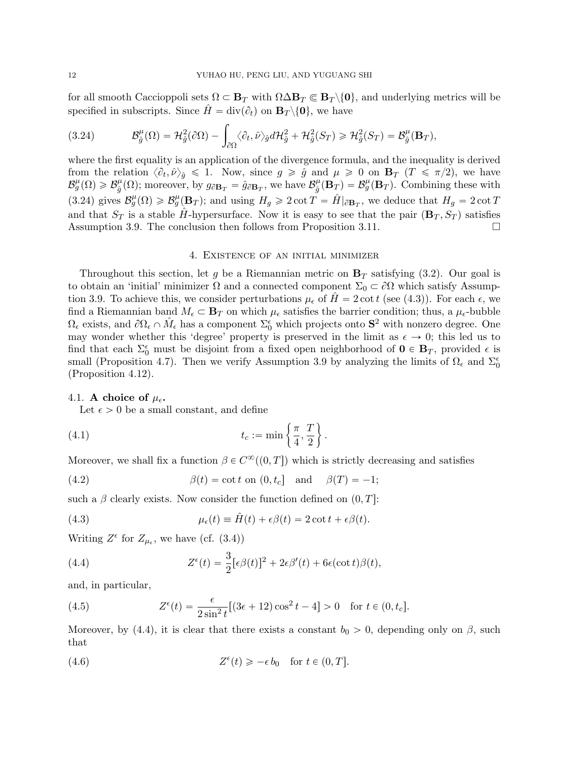for all smooth Caccioppoli sets  $\Omega \subset \mathbf{B}_T$  with  $\Omega \Delta \mathbf{B}_T \subset \mathbf{B}_T \setminus \{0\}$ , and underlying metrics will be specified in subscripts. Since  $\hat{H} = \text{div}(\partial_t)$  on  $\mathbf{B}_T \setminus \{0\}$ , we have

<span id="page-11-2"></span>(3.24) 
$$
\mathcal{B}_{\hat{g}}^{\mu}(\Omega) = \mathcal{H}_{\hat{g}}^{2}(\partial \Omega) - \int_{\partial \Omega} \langle \partial_{t}, \hat{\nu} \rangle_{\hat{g}} d\mathcal{H}_{\hat{g}}^{2} + \mathcal{H}_{\hat{g}}^{2}(S_{T}) \geq \mathcal{H}_{\hat{g}}^{2}(S_{T}) = \mathcal{B}_{\hat{g}}^{\mu}(\mathbf{B}_{T}),
$$

where the first equality is an application of the divergence formula, and the inequality is derived from the relation  $\langle \partial_t, \hat{\nu} \rangle_{\hat{g}} \leq 1$ . Now, since  $g \geq \hat{g}$  and  $\mu \geq 0$  on  $\mathbf{B}_T$   $(T \leq \pi/2)$ , we have  $\mathcal{B}_{g}^{\mu}(\Omega) \geqslant \mathcal{B}_{\hat{a}}^{\mu}$  $\hat{g}^{\mu}(\Omega)$ ; moreover, by  $g_{\partial \mathbf{B}_T} = \hat{g}_{\partial \mathbf{B}_T}$ , we have  $\mathcal{B}_{\hat{g}}^{\mu}$  $\frac{\mu}{\hat{g}}(\dot{\mathbf{B}}_T) = \mathcal{B}_{g}^{\mu}(\mathbf{B}_T)$ . Combining these with [\(3.24\)](#page-11-2) gives  $\mathcal{B}_{g}^{\mu}(\Omega) \geq \mathcal{B}_{g}^{\mu}(\mathbf{B}_{T});$  and using  $H_{g} \geq 2 \cot T = \hat{H}|_{\partial \mathbf{B}_{T}}$ , we deduce that  $H_{g} = 2 \cot T$ and that  $S_T$  is a stable  $H$ -hypersurface. Now it is easy to see that the pair  $(\mathbf{B}_T, S_T)$  satisfies Assumption [3.9.](#page-9-2) The conclusion then follows from Proposition [3.11.](#page-10-1)

#### 4. Existence of an initial minimizer

<span id="page-11-1"></span>Throughout this section, let g be a Riemannian metric on  $\mathbf{B}_T$  satisfying [\(3.2\)](#page-6-4). Our goal is to obtain an 'initial' minimizer  $\Omega$  and a connected component  $\Sigma_0 \subset \partial\Omega$  which satisfy Assump-tion [3.9.](#page-9-2) To achieve this, we consider perturbations  $\mu_{\epsilon}$  of  $H=2 \cot t$  (see [\(4.3\)](#page-11-0)). For each  $\epsilon$ , we find a Riemannian band  $M_{\epsilon} \subset \mathbf{B}_T$  on which  $\mu_{\epsilon}$  satisfies the barrier condition; thus, a  $\mu_{\epsilon}$ -bubble  $\Omega_{\epsilon}$  exists, and  $\partial\Omega_{\epsilon} \cap M_{\epsilon}$  has a component  $\Sigma_{0}^{\epsilon}$  which projects onto  $S^{2}$  with nonzero degree. One may wonder whether this 'degree' property is preserved in the limit as  $\epsilon \to 0$ ; this led us to find that each  $\Sigma_0^{\epsilon}$  must be disjoint from a fixed open neighborhood of  $\mathbf{0} \in \mathbf{B}_T$ , provided  $\epsilon$  is small (Proposition [4.7\)](#page-14-0). Then we verify Assumption [3.9](#page-9-2) by analyzing the limits of  $\Omega_{\epsilon}$  and  $\Sigma_{0}^{\epsilon}$ (Proposition [4.12\)](#page-17-2).

#### 4.1. A choice of  $\mu_{\epsilon}$ .

<span id="page-11-6"></span>Let  $\epsilon > 0$  be a small constant, and define

(4.1) 
$$
t_c := \min\left\{\frac{\pi}{4}, \frac{T}{2}\right\}.
$$

Moreover, we shall fix a function  $\beta \in C^{\infty}((0,T])$  which is strictly decreasing and satisfies

<span id="page-11-4"></span>(4.2) 
$$
\beta(t) = \cot t \text{ on } (0, t_c] \text{ and } \beta(T) = -1;
$$

such a  $\beta$  clearly exists. Now consider the function defined on  $(0, T]$ :

<span id="page-11-0"></span>(4.3) 
$$
\mu_{\epsilon}(t) \equiv \hat{H}(t) + \epsilon \beta(t) = 2 \cot t + \epsilon \beta(t).
$$

Writing  $Z^{\epsilon}$  for  $Z_{\mu_{\epsilon}}$ , we have (cf. [\(3.4\)](#page-6-6))

<span id="page-11-3"></span>(4.4) 
$$
Z^{\epsilon}(t) = \frac{3}{2} [\epsilon \beta(t)]^2 + 2\epsilon \beta'(t) + 6\epsilon(\cot t)\beta(t),
$$

and, in particular,

(4.5) 
$$
Z^{\epsilon}(t) = \frac{\epsilon}{2\sin^2 t} [(3\epsilon + 12)\cos^2 t - 4] > 0 \text{ for } t \in (0, t_c].
$$

Moreover, by [\(4.4\)](#page-11-3), it is clear that there exists a constant  $b_0 > 0$ , depending only on  $\beta$ , such that

<span id="page-11-5"></span>(4.6) 
$$
Z^{\epsilon}(t) \geqslant -\epsilon b_0 \quad \text{for } t \in (0, T].
$$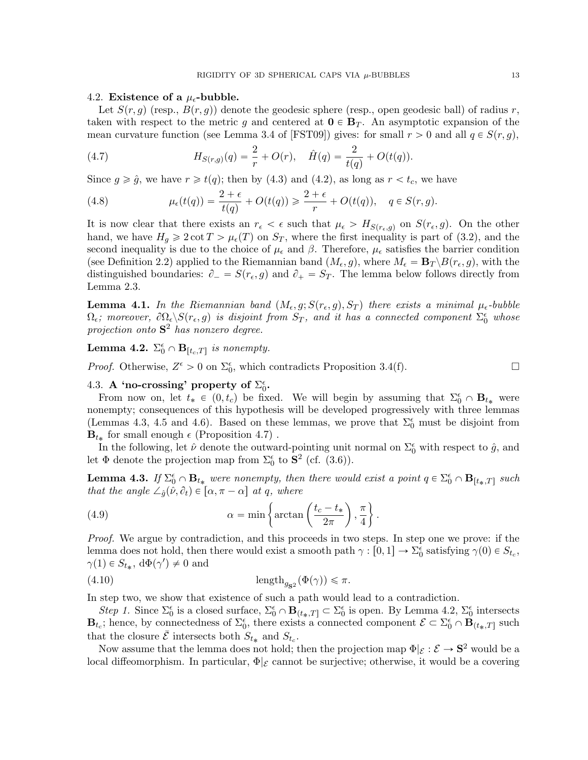#### 4.2. Existence of a  $\mu_{\epsilon}$ -bubble.

Let  $S(r, g)$  (resp.,  $B(r, g)$ ) denote the geodesic sphere (resp., open geodesic ball) of radius r, taken with respect to the metric g and centered at  $\mathbf{0} \in \mathbf{B}_T$ . An asymptotic expansion of the mean curvature function (see Lemma 3.4 of [\[FST09\]](#page-18-6)) gives: for small  $r > 0$  and all  $q \in S(r, g)$ ,

(4.7) 
$$
H_{S(r,g)}(q) = \frac{2}{r} + O(r), \quad \hat{H}(q) = \frac{2}{t(q)} + O(t(q)).
$$

Since  $g \ge \hat{g}$ , we have  $r \ge t(q)$ ; then by [\(4.3\)](#page-11-0) and [\(4.2\)](#page-11-4), as long as  $r < t_c$ , we have

(4.8) 
$$
\mu_{\epsilon}(t(q)) = \frac{2+\epsilon}{t(q)} + O(t(q)) \geq \frac{2+\epsilon}{r} + O(t(q)), \quad q \in S(r, g).
$$

It is now clear that there exists an  $r_{\epsilon} < \epsilon$  such that  $\mu_{\epsilon} > H_{S(r_{\epsilon}, g)}$  on  $S(r_{\epsilon}, g)$ . On the other hand, we have  $H_g \geq 2 \cot T > \mu_{\epsilon}(T)$  on  $S_T$ , where the first inequality is part of [\(3.2\)](#page-6-4), and the second inequality is due to the choice of  $\mu_{\epsilon}$  and  $\beta$ . Therefore,  $\mu_{\epsilon}$  satisfies the barrier condition (see Definition [2.2\)](#page-4-5) applied to the Riemannian band  $(M_{\epsilon}, g)$ , where  $M_{\epsilon} = \mathbf{B}_T \setminus B(r_{\epsilon}, g)$ , with the distinguished boundaries:  $\partial_- = S(r_\epsilon, g)$  and  $\partial_+ = S_T$ . The lemma below follows directly from Lemma [2.3.](#page-4-1)

<span id="page-12-0"></span>**Lemma 4.1.** In the Riemannian band  $(M_{\epsilon}, g; S(r_{\epsilon}, g), S_T)$  there exists a minimal  $\mu_{\epsilon}$ -bubble  $\Omega_{\epsilon}$ ; moreover,  $\partial\Omega_{\epsilon}\backslash S(r_{\epsilon}, g)$  is disjoint from  $S_T$ , and it has a connected component  $\Sigma_{0}^{\epsilon}$  whose projection onto  $S^2$  has nonzero degree.

<span id="page-12-3"></span>**Lemma 4.2.**  $\Sigma_0^{\epsilon} \cap \mathbf{B}_{[t_c,T]}$  is nonempty.

*Proof.* Otherwise,  $Z^{\epsilon} > 0$  on  $\Sigma_{0}^{\epsilon}$ , which contradicts Proposition [3.4\(](#page-7-1)[f\)](#page-7-13).

# <span id="page-12-1"></span>4.3. A 'no-crossing' property of  $\Sigma_0^{\epsilon}$ .

From now on, let  $t_* \in (0, t_c)$  be fixed. We will begin by assuming that  $\Sigma_0^{\epsilon} \cap \mathbf{B}_{t_*}$  were nonempty; consequences of this hypothesis will be developed progressively with three lemmas (Lemmas [4.3,](#page-12-2) [4.5](#page-13-0) and [4.6\)](#page-14-1). Based on these lemmas, we prove that  $\Sigma_0^{\epsilon}$  must be disjoint from  $\mathbf{B}_{t_*}$  for small enough  $\epsilon$  (Proposition [4.7\)](#page-14-0).

In the following, let  $\hat{\nu}$  denote the outward-pointing unit normal on  $\Sigma_0^{\epsilon}$  with respect to  $\hat{g}$ , and let  $\Phi$  denote the projection map from  $\Sigma_0^{\epsilon}$  to  $\mathbf{S}^2$  (cf. [\(3.6\)](#page-7-0)).

<span id="page-12-2"></span>**Lemma 4.3.** If  $\Sigma_0^{\epsilon} \cap \mathbf{B}_{t_*}$  were nonempty, then there would exist a point  $q \in \Sigma_0^{\epsilon} \cap \mathbf{B}_{[t_*,T]}$  such \*

<span id="page-12-5"></span>that the angle 
$$
\angle_{\hat{g}}(\hat{\nu}, \partial_t) \in [\alpha, \pi - \alpha]
$$
 at q, where  
(4.9)  $\alpha = \min \left\{ \arctan \left( \frac{t_c - t_*}{2\pi} \right), \frac{\pi}{4} \right\}.$ 

Proof. We argue by contradiction, and this proceeds in two steps. In step one we prove: if the lemma does not hold, then there would exist a smooth path  $\gamma : [0, 1] \to \Sigma_0^{\epsilon}$  satisfying  $\gamma(0) \in S_{t_c}$ ,  $\gamma(1) \in S_{t_*}, \, \mathrm{d}\Phi(\gamma') \neq 0$  and

<span id="page-12-4"></span>
$$
\left(4.10\right) \qquad \qquad \operatorname{length}_{g_{\mathbf{S}^2}}(\Phi(\gamma)) \leqslant \pi.
$$

In step two, we show that existence of such a path would lead to a contradiction.

Step 1. Since  $\Sigma_0^{\epsilon}$  is a closed surface,  $\Sigma_0^{\epsilon} \cap \mathbf{B}_{(t_*,T]} \subset \Sigma_0^{\epsilon}$  is open. By Lemma [4.2,](#page-12-3)  $\Sigma_0^{\epsilon}$  intersects  $\mathbf{B}_{t_c}$ ; hence, by connectedness of  $\Sigma_0^{\epsilon}$ , there exists a connected component  $\mathcal{E} \subset \Sigma_0^{\epsilon} \cap \mathbf{B}_{(t_*,T]}$  such that the closure  $\overline{\mathcal{E}}$  intersects both  $S_{t_*}$  and  $S_{t_c}$ .

Now assume that the lemma does not hold; then the projection map  $\Phi|_{\mathcal{E}} : \mathcal{E} \to \mathbf{S}^2$  would be a local diffeomorphism. In particular,  $\Phi|_{\mathcal{E}}$  cannot be surjective; otherwise, it would be a covering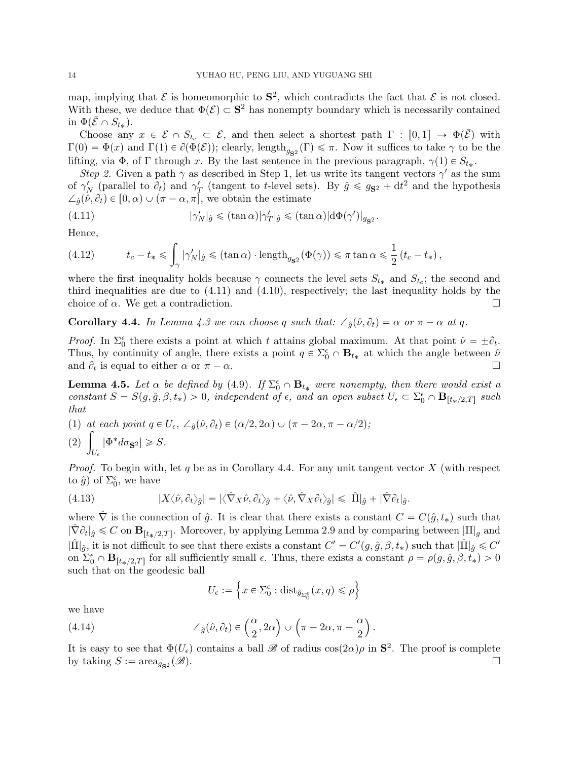map, implying that  $\mathcal E$  is homeomorphic to  $S^2$ , which contradicts the fact that  $\mathcal E$  is not closed. With these, we deduce that  $\Phi(\mathcal{E}) \subset \mathbf{S}^2$  has nonempty boundary which is necessarily contained in  $\Phi(\bar{\mathcal{E}} \cap \overline{S_{t_{*}}})$ .

Choose any  $x \in \mathcal{E} \cap S_{t_c} \subset \mathcal{E}$ , and then select a shortest path  $\Gamma : [0, 1] \to \Phi(\overline{\mathcal{E}})$  with  $\Gamma(0) = \Phi(x)$  and  $\Gamma(1) \in \partial(\Phi(\mathcal{E}))$ ; clearly, length<sub>g<sub>s2</sub></sub> ( $\Gamma$ )  $\leq \pi$ . Now it suffices to take  $\gamma$  to be the lifting, via  $\Phi$ , of  $\Gamma$  through x. By the last sentence in the previous paragraph,  $\gamma(1) \in S_{t_*}$ .

Step 2. Given a path  $\gamma$  as described in Step 1, let us write its tangent vectors  $\gamma'$  as the sum of  $\gamma'_N$  (parallel to  $\partial_t$ ) and  $\gamma'_T$  (tangent to t-level sets). By  $\hat{g} \leq g_{S^2} + dt^2$  and the hypothesis  $\angle_{\hat{q}}(\hat{\nu}, \partial_t) \in [0, \alpha) \cup (\pi - \alpha, \pi]$ , we obtain the estimate

<span id="page-13-1"></span>(4.11) 
$$
|\gamma'_N|_{\hat{g}} \leq (\tan \alpha)|\gamma'_T|_{\hat{g}} \leq (\tan \alpha)|d\Phi(\gamma')|_{g_{\mathbf{S}^2}}.
$$

Hence,

(4.12) 
$$
t_c - t_* \leq \int_{\gamma} |\gamma'_N|_{\hat{g}} \leq (\tan \alpha) \cdot \text{length}_{g_{\mathbf{S}^2}}(\Phi(\gamma)) \leq \pi \tan \alpha \leq \frac{1}{2} (t_c - t_*) ,
$$

where the first inequality holds because  $\gamma$  connects the level sets  $S_{t*}$  and  $S_{tc}$ ; the second and third inequalities are due to [\(4.11\)](#page-13-1) and [\(4.10\)](#page-12-4), respectively; the last inequality holds by the choice of  $\alpha$ . We get a contradiction.

<span id="page-13-2"></span>**Corollary 4.4.** In Lemma [4.3](#page-12-2) we can choose q such that:  $\angle_{\hat{q}}(\hat{\nu}, \partial_t) = \alpha$  or  $\pi - \alpha$  at q.

*Proof.* In  $\Sigma_0^{\epsilon}$  there exists a point at which t attains global maximum. At that point  $\hat{\nu} = \pm \partial_t$ . Thus, by continuity of angle, there exists a point  $q \in \Sigma_0^{\epsilon} \cap \mathbf{B}_{t_*}$  at which the angle between  $\hat{\nu}$ and  $\partial_t$  is equal to either  $\alpha$  or  $\pi - \alpha$ .

<span id="page-13-0"></span>**Lemma 4.5.** Let  $\alpha$  be defined by [\(4.9\)](#page-12-5). If  $\Sigma_0^{\epsilon} \cap \mathbf{B}_{t_*}$  were nonempty, then there would exist a constant  $S = S(g, \hat{g}, \beta, t_*) > 0$ , independent of  $\epsilon$ , and an open subset  $U_{\epsilon} \subset \Sigma_{0}^{\epsilon} \cap \mathbf{B}_{[t_{*}/2,T]}$  such that

(1) at each point 
$$
q \in U_{\epsilon}
$$
,  $\angle_{\hat{g}}(\hat{\nu}, \partial_t) \in (\alpha/2, 2\alpha) \cup (\pi - 2\alpha, \pi - \alpha/2);$   
(2)  $\int_{U_{\epsilon}} |\Phi^* d\sigma_{\mathbf{S}^2}| \geq S.$ 

*Proof.* To begin with, let q be as in Corollary [4.4.](#page-13-2) For any unit tangent vector  $X$  (with respect to  $\hat{g}$ ) of  $\Sigma_0^{\epsilon}$ , we have

(4.13) 
$$
|X\langle \hat{\nu}, \partial_t \rangle_{\hat{g}}| = |\langle \hat{\nabla}_X \hat{\nu}, \partial_t \rangle_{\hat{g}} + \langle \hat{\nu}, \hat{\nabla}_X \partial_t \rangle_{\hat{g}}| \leq |\hat{\Pi}|_{\hat{g}} + |\hat{\nabla} \partial_t|_{\hat{g}}.
$$

where  $\hat{\nabla}$  is the connection of  $\hat{g}$ . It is clear that there exists a constant  $C = C(\hat{g}, t_*)$  such that  $|\hat{\nabla} \partial_t|_{\hat{g}} \leq C$  on  $\mathbf{B}_{[t_*/2,T]}$ . Moreover, by applying Lemma [2.9](#page-5-6) and by comparing between  $|\Pi|_g$  and  $|\hat{\Pi}|_{\hat{g}}$ , it is not difficult to see that there exists a constant  $C' = C'(g, \hat{g}, \beta, t_*)$  such that  $|\hat{\Pi}|_{\hat{g}} \leq C'$ on  $\Sigma_0^{\epsilon} \cap \mathbf{B}_{[t_*/2,T]}$  for all sufficiently small  $\epsilon$ . Thus, there exists a constant  $\rho = \rho(g, \hat{g}, \beta, t_*) > 0$ such that on the geodesic ball !<br>! )

$$
U_{\epsilon} := \left\{ x \in \Sigma_0^{\epsilon} : \mathrm{dist}_{\hat{g}_{\Sigma_0^{\epsilon}}}(x, q) \leq \rho \right\}
$$

we have

we have  
\n
$$
(4.14) \qquad \qquad \angle_{\hat{g}}(\hat{\nu}, \partial_t) \in \left(\frac{\alpha}{2}, 2\alpha\right) \cup \left(\pi - 2\alpha, \pi - \frac{\alpha}{2}\right).
$$

It is easy to see that  $\Phi(U_{\epsilon})$  contains a ball  $\mathscr{B}$  of radius  $\cos(2\alpha)\rho$  in  $S^2$ . The proof is complete by taking  $S := \text{area}_{g_{\mathbf{S}^2}}(\mathscr{B}).$  $\mathcal{B}$ .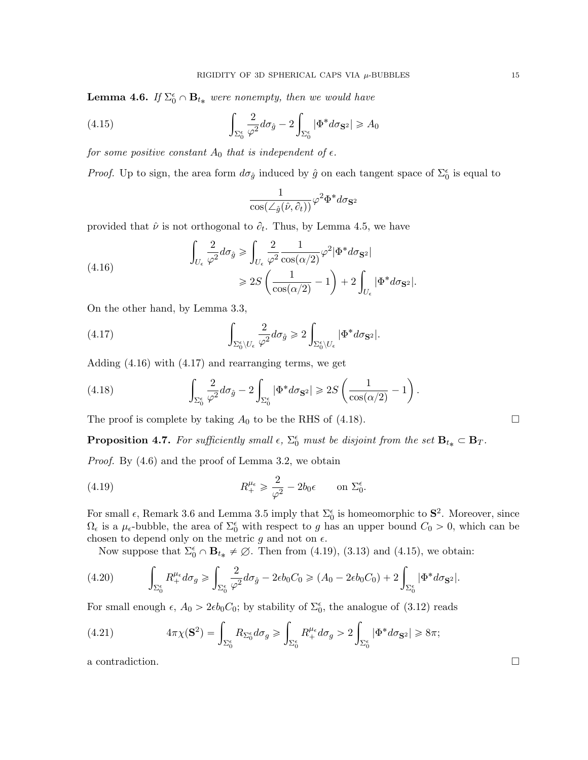<span id="page-14-1"></span>**Lemma 4.6.** If  $\Sigma_0^{\epsilon} \cap \mathbf{B}_{t_*}$  were nonempty, then we would have

(4.15) 
$$
\int_{\Sigma_0^{\epsilon}} \frac{2}{\varphi^2} d\sigma_{\hat{g}} - 2 \int_{\Sigma_0^{\epsilon}} |\Phi^* d\sigma_{\mathbf{S}^2}| \geq A_0
$$

for some positive constant  $A_0$  that is independent of  $\epsilon$ .

*Proof.* Up to sign, the area form  $d\sigma_{\hat{g}}$  induced by  $\hat{g}$  on each tangent space of  $\Sigma_0^{\epsilon}$  is equal to

<span id="page-14-6"></span><span id="page-14-3"></span><span id="page-14-2"></span>
$$
\frac{1}{\cos(\angle_{\hat{g}}(\hat{\nu},\partial_{t}))}\varphi^2\Phi^*d\sigma_{\mathbf{S}^2}
$$

provided that  $\hat{\nu}$  is not orthogonal to  $\partial_t$ . Thus, by Lemma [4.5,](#page-13-0) we have ż ż

(4.16) 
$$
\int_{U_{\epsilon}} \frac{2}{\varphi^2} d\sigma_{\hat{g}} \ge \int_{U_{\epsilon}} \frac{2}{\varphi^2} \frac{1}{\cos(\alpha/2)} \varphi^2 |\Phi^* d\sigma_{\mathbf{S}^2}|
$$

$$
\ge 2S \left( \frac{1}{\cos(\alpha/2)} - 1 \right) + 2 \int_{U_{\epsilon}} |\Phi^* d\sigma_{\mathbf{S}^2}|.
$$

On the other hand, by Lemma [3.3,](#page-7-4)

(4.17) 
$$
\int_{\Sigma_0^{\epsilon} \backslash U_{\epsilon}} \frac{2}{\varphi^2} d\sigma_{\hat{g}} \geq 2 \int_{\Sigma_0^{\epsilon} \backslash U_{\epsilon}} |\Phi^* d\sigma_{\mathbf{S}^2}|.
$$

Adding [\(4.16\)](#page-14-2) with [\(4.17\)](#page-14-3) and rearranging terms, we get

<span id="page-14-4"></span>(4.18) 
$$
\int_{\Sigma_0^{\epsilon}} \frac{2}{\varphi^2} d\sigma_{\hat{g}} - 2 \int_{\Sigma_0^{\epsilon}} |\Phi^* d\sigma_{\mathbf{S}^2}| \geq 2S \left( \frac{1}{\cos(\alpha/2)} - 1 \right).
$$

The proof is complete by taking  $A_0$  to be the RHS of [\(4.18\)](#page-14-4).

<span id="page-14-0"></span>**Proposition 4.7.** For sufficiently small  $\epsilon$ ,  $\Sigma_0^{\epsilon}$  must be disjoint from the set  $\mathbf{B}_{t_*} \subset \mathbf{B}_T$ .

Proof. By [\(4.6\)](#page-11-5) and the proof of Lemma [3.2,](#page-6-5) we obtain

<span id="page-14-5"></span>(4.19) 
$$
R_+^{\mu_\epsilon} \geq \frac{2}{\varphi^2} - 2b_0 \epsilon \quad \text{on } \Sigma_0^\epsilon.
$$

For small  $\epsilon$ , Remark [3.6](#page-7-14) and Lemma [3.5](#page-7-3) imply that  $\Sigma_0^{\epsilon}$  is homeomorphic to  $S^2$ . Moreover, since  $\Omega_{\epsilon}$  is a  $\mu_{\epsilon}$ -bubble, the area of  $\Sigma_{0}^{\epsilon}$  with respect to g has an upper bound  $C_0 > 0$ , which can be chosen to depend only on the metric  $g$  and not on  $\epsilon$ .

Now suppose that  $\Sigma_0^{\epsilon} \cap \mathbf{B}_{t_*} \neq \emptyset$ . Then from [\(4.19\)](#page-14-5), [\(3.13\)](#page-8-1) and [\(4.15\)](#page-14-6), we obtain: ż ż

(4.20) 
$$
\int_{\Sigma_0^{\epsilon}} R_+^{\mu_{\epsilon}} d\sigma_g \ge \int_{\Sigma_0^{\epsilon}} \frac{2}{\varphi^2} d\sigma_{\hat{g}} - 2\epsilon b_0 C_0 \ge (A_0 - 2\epsilon b_0 C_0) + 2 \int_{\Sigma_0^{\epsilon}} |\Phi^* d\sigma_{\mathbf{S}^2}|.
$$

For small enough  $\epsilon$ ,  $A_0 > 2\epsilon b_0 C_0$ ; by stability of  $\Sigma_0^{\epsilon}$ , the analogue of [\(3.12\)](#page-7-5) reads ż ż

<span id="page-14-7"></span>(4.21) 
$$
4\pi\chi(\mathbf{S}^2) = \int_{\Sigma_0^{\epsilon}} R_{\Sigma_0^{\epsilon}} d\sigma_g \ge \int_{\Sigma_0^{\epsilon}} R_+^{\mu_{\epsilon}} d\sigma_g > 2 \int_{\Sigma_0^{\epsilon}} |\Phi^* d\sigma_{\mathbf{S}^2}| \ge 8\pi;
$$

a contradiction.  $\Box$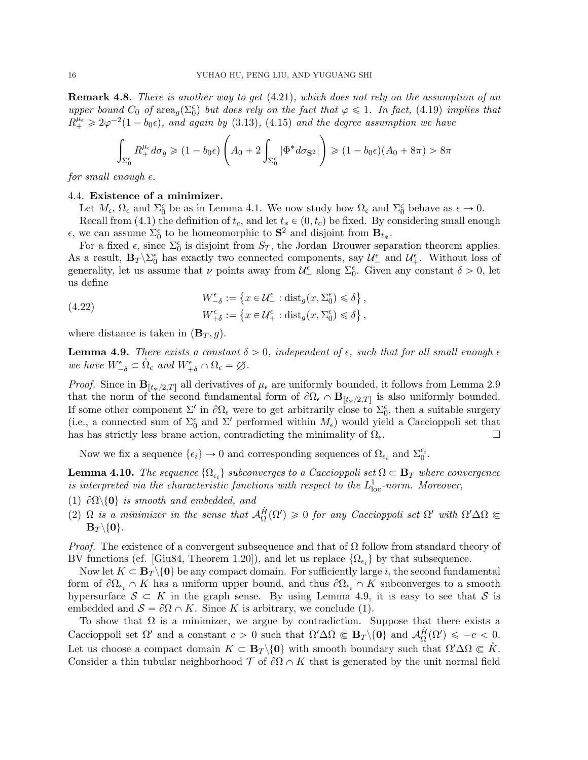Remark 4.8. There is another way to get  $(4.21)$ , which does not rely on the assumption of an upper bound  $C_0$  of area<sub>g</sub>( $\Sigma_0^{\epsilon}$ ) but does rely on the fact that  $\varphi \leq 1$ . In fact, [\(4.19\)](#page-14-5) implies that  $R_{+}^{\mu_{\epsilon}} \geqslant 2\varphi^{-2}(1-b_0\epsilon)$ , and again by [\(3.13\)](#page-8-1), [\(4.15\)](#page-14-6) and the degree assumption we have

$$
\int_{\Sigma_0^{\epsilon}} R_+^{\mu_{\epsilon}} d\sigma_g \geqslant (1 - b_0 \epsilon) \left( A_0 + 2 \int_{\Sigma_0^{\epsilon}} |\Phi^* d\sigma_{\mathbf{S}^2}| \right) \geqslant (1 - b_0 \epsilon) (A_0 + 8\pi) > 8\pi
$$

for small enough  $\epsilon$ .

## <span id="page-15-0"></span>4.4. Existence of a minimizer.

Let  $M_{\epsilon}$ ,  $\Omega_{\epsilon}$  and  $\Sigma_{0}^{\epsilon}$  be as in Lemma [4.1.](#page-12-0) We now study how  $\Omega_{\epsilon}$  and  $\Sigma_{0}^{\epsilon}$  behave as  $\epsilon \to 0$ .

Recall from [\(4.1\)](#page-11-6) the definition of  $t_c$ , and let  $t_* \in (0, t_c)$  be fixed. By considering small enough  $\epsilon$ , we can assume  $\Sigma_0^{\epsilon}$  to be homeomorphic to **S**<sup>2</sup> and disjoint from **B**<sub>t\*</sub>.

For a fixed  $\epsilon$ , since  $\Sigma_0^{\epsilon}$  is disjoint from  $S_T$ , the Jordan–Brouwer separation theorem applies. As a result,  $B_T \setminus \Sigma_0^{\epsilon}$  has exactly two connected components, say  $\mathcal{U}_-^{\epsilon}$  and  $\mathcal{U}_+^{\epsilon}$ . Without loss of generality, let us assume that  $\nu$  points away from  $\mathcal{U}^{\epsilon}_{-}$  along  $\Sigma_{0}^{\epsilon}$ . Given any constant  $\delta > 0$ , let us define  $\mathbf{r}$ (

(4.22) 
$$
W_{-\delta}^{\epsilon} := \left\{ x \in \mathcal{U}_{-}^{\epsilon} : \text{dist}_{g}(x, \Sigma_{0}^{\epsilon}) \leq \delta \right\},
$$

$$
W_{+\delta}^{\epsilon} := \left\{ x \in \mathcal{U}_{+}^{\epsilon} : \text{dist}_{g}(x, \Sigma_{0}^{\epsilon}) \leq \delta \right\},
$$

where distance is taken in  $(\mathbf{B}_T, g)$ .

<span id="page-15-1"></span>**Lemma 4.9.** There exists a constant  $\delta > 0$ , independent of  $\epsilon$ , such that for all small enough  $\epsilon$ we have  $W_{-\delta}^{\epsilon} \subset \mathring{\Omega}_{\epsilon}$  and  $W_{+\delta}^{\epsilon} \cap \Omega_{\epsilon} = \varnothing$ .

*Proof.* Since in  $\mathbf{B}_{[t_*/2,T]}$  all derivatives of  $\mu_{\epsilon}$  are uniformly bounded, it follows from Lemma [2.9](#page-5-6) that the norm of the second fundamental form of  $\partial\Omega_{\epsilon} \cap \mathbf{B}_{[t_*/2,T]}$  is also uniformly bounded. If some other component  $\Sigma'$  in  $\partial\Omega_{\epsilon}$  were to get arbitrarily close to  $\Sigma_{0}^{\epsilon}$ , then a suitable surgery (i.e., a connected sum of  $\Sigma_0^{\epsilon}$  and  $\Sigma'$  performed within  $M_{\epsilon}$ ) would yield a Caccioppoli set that has has strictly less brane action, contradicting the minimality of  $\Omega_{\epsilon}$ .

Now we fix a sequence  $\{\epsilon_i\} \to 0$  and corresponding sequences of  $\Omega_{\epsilon_i}$  and  $\Sigma_0^{\epsilon_i}$ .

<span id="page-15-2"></span>**Lemma 4.10.** The sequence  $\{\Omega_{\epsilon_i}\}$  subconverges to a Caccioppoli set  $\Omega \subset \mathbf{B}_T$  where convergence is interpreted via the characteristic functions with respect to the  $L_{\text{loc}}^1$ -norm. Moreover,

- (1)  $\partial\Omega\backslash\{0\}$  is smooth and embedded, and
- (2)  $\Omega$  is a minimizer in the sense that  $\mathcal{A}_{\Omega}^{\hat{H}}(\Omega') \geq 0$  for any Caccioppoli set  $\Omega'$  with  $\Omega' \Delta \Omega \subseteq$  $\mathbf{B}_T\backslash\{0\}.$

*Proof.* The existence of a convergent subsequence and that of  $\Omega$  follow from standard theory of BV functions (cf. [\[Giu84,](#page-18-5) Theorem 1.20]), and let us replace  $\{\Omega_{\epsilon_i}\}\$  by that subsequence.

Now let  $K \subset \mathbf{B}_T \setminus \{0\}$  be any compact domain. For sufficiently large i, the second fundamental form of  $\partial\Omega_{\epsilon_i} \cap K$  has a uniform upper bound, and thus  $\partial\Omega_{\epsilon_i} \cap K$  subconverges to a smooth hypersurface  $S \subset K$  in the graph sense. By using Lemma [4.9,](#page-15-1) it is easy to see that S is embedded and  $S = \partial \Omega \cap K$ . Since K is arbitrary, we conclude (1).

To show that  $\Omega$  is a minimizer, we argue by contradiction. Suppose that there exists a Caccioppoli set  $\Omega'$  and a constant  $c > 0$  such that  $\Omega' \Delta \Omega \subseteq \mathbf{B}_T \setminus \{0\}$  and  $\mathcal{A}_{\Omega}^{\hat{H}}(\Omega') \leqslant -c < 0$ . Let us choose a compact domain  $K \subset \mathbf{B}_T \setminus \{0\}$  with smooth boundary such that  $\Omega' \Delta \Omega \subseteq K$ . Consider a thin tubular neighborhood  $\mathcal T$  of  $\partial\Omega \cap K$  that is generated by the unit normal field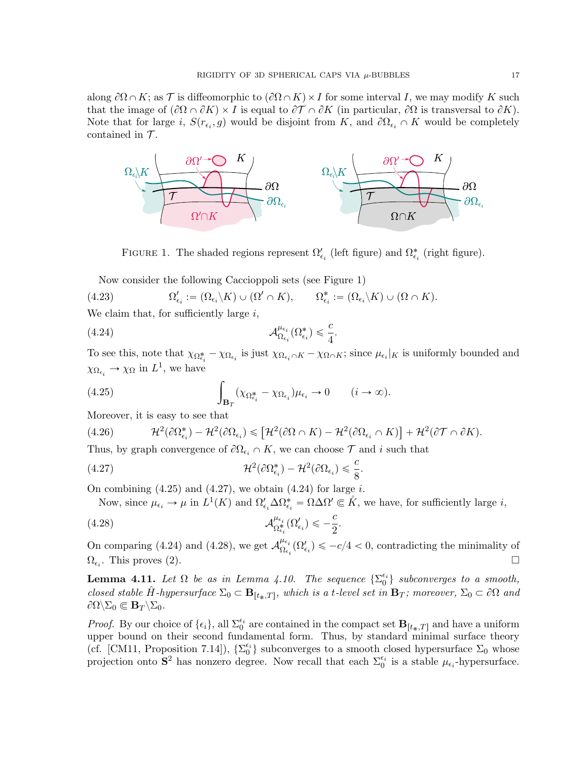along  $\partial\Omega\cap K$ ; as T is diffeomorphic to  $(\partial\Omega\cap K)\times I$  for some interval I, we may modify K such that the image of  $(\partial\Omega \cap \partial K) \times I$  is equal to  $\partial\mathcal{T} \cap \partial K$  (in particular,  $\partial\Omega$  is transversal to  $\partial K$ ). Note that for large i,  $S(r_{\epsilon_i}, g)$  would be disjoint from K, and  $\partial\Omega_{\epsilon_i} \cap K$  would be completely contained in  $\mathcal{T}$ .

<span id="page-16-1"></span>

FIGURE 1. The shaded regions represent  $\Omega'_{\epsilon_i}$  (left figure) and  $\Omega^*_{\epsilon_i}$  (right figure).

Now consider the following Caccioppoli sets (see Figure [1\)](#page-16-1)

(4.23) 
$$
\Omega'_{\epsilon_i} := (\Omega_{\epsilon_i} \backslash K) \cup (\Omega' \cap K), \qquad \Omega^*_{\epsilon_i} := (\Omega_{\epsilon_i} \backslash K) \cup (\Omega \cap K).
$$

We claim that, for sufficiently large  $i$ ,

(4.24) 
$$
\mathcal{A}_{\Omega_{\epsilon_i}}^{\mu_{\epsilon_i}}(\Omega_{\epsilon_i}^*) \leq \frac{c}{4}
$$

To see this, note that  $\chi_{\Omega_{\epsilon_i}^*} - \chi_{\Omega_{\epsilon_i}}$  is just  $\chi_{\Omega_{\epsilon_i} \cap K} - \chi_{\Omega \cap K}$ ; since  $\mu_{\epsilon_i}|_K$  is uniformly bounded and

<span id="page-16-4"></span>.

<span id="page-16-2"></span>
$$
\chi_{\Omega_{\epsilon_i}} \to \chi_{\Omega}
$$
 in  $L^1$ , we have  
(4.25) 
$$
\int_{\mathbf{B}_T} (\chi_{\Omega_{\epsilon_i}^*} - \chi_{\Omega_{\epsilon_i}}) \mu_{\epsilon_i} \to 0 \qquad (i \to \infty).
$$

Moreover, it is easy to see that

(4.26) 
$$
\mathcal{H}^{2}(\partial \Omega_{\epsilon_{i}}^{*}) - \mathcal{H}^{2}(\partial \Omega_{\epsilon_{i}}) \leq [\mathcal{H}^{2}(\partial \Omega \cap K) - \mathcal{H}^{2}(\partial \Omega_{\epsilon_{i}} \cap K)] + \mathcal{H}^{2}(\partial \mathcal{T} \cap \partial K).
$$

Thus, by graph convergence of  $\partial\Omega_{\epsilon_i} \cap K$ , we can choose  $\mathcal T$  and i such that

(4.27) 
$$
\mathcal{H}^2(\partial \Omega_{\epsilon_i}^*) - \mathcal{H}^2(\partial \Omega_{\epsilon_i}) \leq \frac{c}{8}.
$$

On combining  $(4.25)$  and  $(4.27)$ , we obtain  $(4.24)$  for large i.

<span id="page-16-5"></span><span id="page-16-3"></span>Now, since  $\mu_{\epsilon_i} \to \mu$  in  $L^1(K)$  and  $\Omega'_{\epsilon_i} \Delta \Omega^*_{\epsilon_i} = \Omega \Delta \Omega' \subseteq \mathring{K}$ , we have, for sufficiently large *i*,

(4.28) 
$$
\mathcal{A}_{\Omega_{\epsilon_i}^*}^{\mu_{\epsilon_i}}(\Omega_{\epsilon_i}') \leqslant -\frac{c}{2}.
$$

On comparing [\(4.24\)](#page-16-4) and [\(4.28\)](#page-16-5), we get  $\mathcal{A}_{Q}^{\mu_{\epsilon_i}}$  $\sum_{\Omega_{\epsilon_i}}^{\mu_{\epsilon_i}} (\Omega'_{\epsilon_i}) \leq -c/4 < 0$ , contradicting the minimality of  $\Omega_{\epsilon_i}$ . This proves (2).

<span id="page-16-0"></span>**Lemma 4.11.** Let  $\Omega$  be as in Lemma [4.10.](#page-15-2) The sequence  $\{\Sigma_0^{\epsilon_i}\}\$  subconverges to a smooth, closed stable  $\hat{H}$ -hypersurface  $\Sigma_0 \subset \mathbf{B}_{[t_*,T]}$ , which is a t-level set in  $\mathbf{B}_T$ ; moreover,  $\Sigma_0 \subset \partial\Omega$  and  $\partial\Omega\backslash\Sigma_0\Subset{\bf B}_T\backslash\Sigma_0.$ 

*Proof.* By our choice of  $\{\epsilon_i\}$ , all  $\Sigma_0^{\epsilon_i}$  are contained in the compact set  $\mathbf{B}_{[t_*,T]}$  and have a uniform upper bound on their second fundamental form. Thus, by standard minimal surface theory (cf. [\[CM11,](#page-18-7) Proposition 7.14]),  $\{\Sigma_0^{\epsilon_i}\}$  subconverges to a smooth closed hypersurface  $\Sigma_0$  whose projection onto  $S^2$  has nonzero degree. Now recall that each  $\Sigma_0^{\epsilon_i}$  is a stable  $\mu_{\epsilon_i}$ -hypersurface.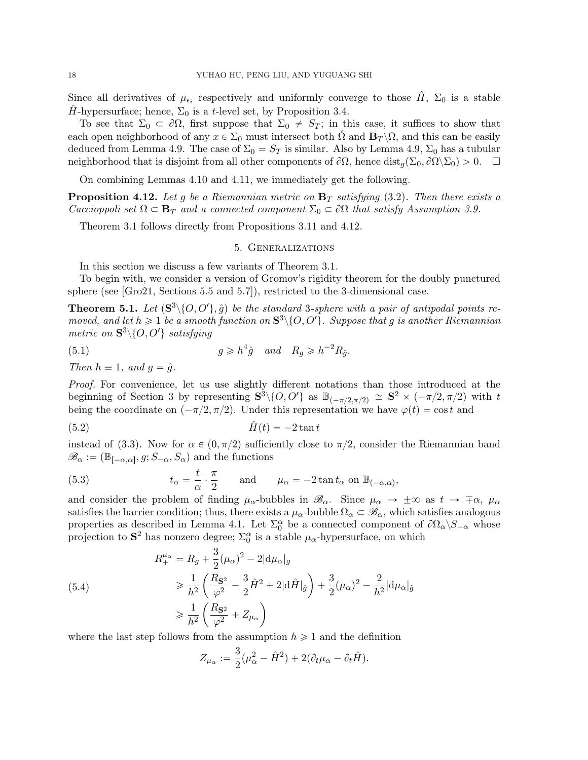Since all derivatives of  $\mu_{\epsilon_i}$  respectively and uniformly converge to those  $\hat{H}$ ,  $\Sigma_0$  is a stable H-hypersurface; hence,  $\Sigma_0$  is a t-level set, by Proposition [3.4.](#page-7-1)

To see that  $\Sigma_0 \subset \partial\Omega$ , first suppose that  $\Sigma_0 \neq S_T$ ; in this case, it suffices to show that each open neighborhood of any  $x \in \Sigma_0$  must intersect both  $\Omega$  and  $\mathbf{B}_T \setminus \Omega$ , and this can be easily deduced from Lemma [4.9.](#page-15-1) The case of  $\Sigma_0 = S_T$  is similar. Also by Lemma [4.9,](#page-15-1)  $\Sigma_0$  has a tubular neighborhood that is disjoint from all other components of  $\partial\Omega$ , hence  $dist_a(\Sigma_0, \partial\Omega \setminus \Sigma_0) > 0.$ 

On combining Lemmas [4.10](#page-15-2) and [4.11,](#page-16-0) we immediately get the following.

<span id="page-17-2"></span>**Proposition 4.12.** Let q be a Riemannian metric on  $\mathbf{B}_T$  satisfying [\(3.2\)](#page-6-4). Then there exists a Caccioppoli set  $\Omega \subset \mathbf{B}_T$  and a connected component  $\Sigma_0 \subset \partial \Omega$  that satisfy Assumption [3.9.](#page-9-2)

<span id="page-17-1"></span>Theorem [3.1](#page-6-2) follows directly from Propositions [3.11](#page-10-1) and [4.12.](#page-17-2)

#### <span id="page-17-3"></span>5. Generalizations

In this section we discuss a few variants of Theorem [3.1.](#page-6-2)

To begin with, we consider a version of Gromov's rigidity theorem for the doubly punctured sphere (see [\[Gro21,](#page-19-0) Sections 5.5 and 5.7]), restricted to the 3-dimensional case.

<span id="page-17-0"></span>**Theorem 5.1.** Let  $(\mathbf{S}^3 \setminus \{O, O'\}, \hat{g})$  be the standard 3-sphere with a pair of antipodal points removed, and let  $h \geq 1$  be a smooth function on  $S^3 \setminus \{O, O'\}$ . Suppose that g is another Riemannian metric on  $\mathbf{S}^3 \setminus \{O, O'\}$  satisfying

(5.1) 
$$
g \geq h^4 \hat{g} \quad and \quad R_g \geq h^{-2} R_{\hat{g}}.
$$

Then  $h \equiv 1$ , and  $g = \hat{g}$ .

Proof. For convenience, let us use slightly different notations than those introduced at the beginning of Section [3](#page-6-1) by representing  $S^3 \setminus \{O, O'\}$  as  $\mathbb{B}_{(-\pi/2, \pi/2)} \cong S^2 \times (-\pi/2, \pi/2)$  with t being the coordinate on  $(-\pi/2, \pi/2)$ . Under this representation we have  $\varphi(t) = \cos t$  and

$$
\hat{H}(t) = -2\tan t
$$

instead of [\(3.3\)](#page-6-0). Now for  $\alpha \in (0, \pi/2)$  sufficiently close to  $\pi/2$ , consider the Riemannian band  $\mathscr{B}_{\alpha} := (\mathbb{B}_{[-\alpha,\alpha]}, g; S_{-\alpha}, S_{\alpha})$  and the functions

(5.3) 
$$
t_{\alpha} = \frac{t}{\alpha} \cdot \frac{\pi}{2}
$$
 and  $\mu_{\alpha} = -2 \tan t_{\alpha}$  on  $\mathbb{B}_{(-\alpha,\alpha)}$ ,

and consider the problem of finding  $\mu_{\alpha}$ -bubbles in  $\mathscr{B}_{\alpha}$ . Since  $\mu_{\alpha} \to \pm \infty$  as  $t \to \mp \alpha$ ,  $\mu_{\alpha}$ satisfies the barrier condition; thus, there exists a  $\mu_{\alpha}$ -bubble  $\Omega_{\alpha} \subset \mathscr{B}_{\alpha}$ , which satisfies analogous properties as described in Lemma [4.1.](#page-12-0) Let  $\Sigma_0^{\alpha}$  be a connected component of  $\partial\Omega_{\alpha}\backslash S_{-\alpha}$  whose projection to  $S^2$  has nonzero degree;  $\Sigma_0^{\alpha}$  is a stable  $\mu_{\alpha}$ -hypersurface, on which

(5.4)  
\n
$$
R_{+}^{\mu_{\alpha}} = R_{g} + \frac{3}{2}(\mu_{\alpha})^{2} - 2|d\mu_{\alpha}|_{g}
$$
\n
$$
\geq \frac{1}{h^{2}} \left( \frac{R_{S^{2}}}{\varphi^{2}} - \frac{3}{2}\hat{H}^{2} + 2|d\hat{H}|_{\hat{g}} \right) + \frac{3}{2}(\mu_{\alpha})^{2} - \frac{2}{h^{2}}|d\mu_{\alpha}|_{\hat{g}}
$$
\n
$$
\geq \frac{1}{h^{2}} \left( \frac{R_{S^{2}}}{\varphi^{2}} + Z_{\mu_{\alpha}} \right)
$$

where the last step follows from the assumption  $h \geq 1$  and the definition

$$
Z_{\mu_{\alpha}} := \frac{3}{2}(\mu_{\alpha}^2 - \hat{H}^2) + 2(\partial_t \mu_{\alpha} - \partial_t \hat{H}).
$$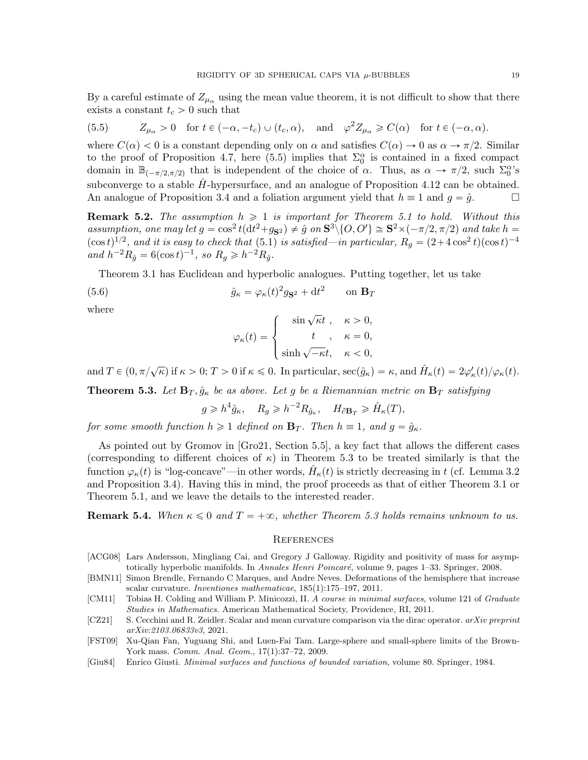By a careful estimate of  $Z_{\mu_{\alpha}}$  using the mean value theorem, it is not difficult to show that there exists a constant  $t_c > 0$  such that

<span id="page-18-8"></span>(5.5) 
$$
Z_{\mu_{\alpha}} > 0
$$
 for  $t \in (-\alpha, -t_c) \cup (t_c, \alpha)$ , and  $\varphi^2 Z_{\mu_{\alpha}} \ge C(\alpha)$  for  $t \in (-\alpha, \alpha)$ .

where  $C(\alpha) < 0$  is a constant depending only on  $\alpha$  and satisfies  $C(\alpha) \to 0$  as  $\alpha \to \pi/2$ . Similar to the proof of Proposition [4.7,](#page-14-0) here [\(5.5\)](#page-18-8) implies that  $\Sigma_0^{\alpha}$  is contained in a fixed compact domain in  $\mathbb{B}_{(-\pi/2,\pi/2)}$  that is independent of the choice of  $\alpha$ . Thus, as  $\alpha \to \pi/2$ , such  $\Sigma_0^{\alpha}$ 's subconverge to a stable  $H$ -hypersurface, and an analogue of Proposition [4.12](#page-17-2) can be obtained. An analogue of Proposition [3.4](#page-7-1) and a foliation argument yield that  $h \equiv 1$  and  $g = \hat{g}$ .

<span id="page-18-3"></span>**Remark 5.2.** The assumption  $h \geq 1$  is important for Theorem [5.1](#page-17-0) to hold. Without this assumption, one may let  $g = \cos^2 t (dt^2 + g_{S^2}) \neq \hat{g}$  on  $S^3 \setminus \{O, O'\} \cong S^2 \times (-\pi/2, \pi/2)$  and take  $h =$  $(\cos t)^{1/2}$ , and it is easy to check that [\(5.1\)](#page-17-3) is satisfied—in particular,  $R_g = (2 + 4\cos^2 t)(\cos t)^{-4}$ and  $h^{-2}R_{\hat{g}} = 6(\cos t)^{-1}$ , so  $R_g \geq h^{-2}R_{\hat{g}}$ .

Theorem [3.1](#page-6-2) has Euclidean and hyperbolic analogues. Putting together, let us take

(5.6) 
$$
\hat{g}_{\kappa} = \varphi_{\kappa}(t)^2 g_{\mathbf{S}^2} + dt^2 \qquad \text{on } \mathbf{B}_T
$$

where

$$
\varphi_{\kappa}(t) = \begin{cases}\n\sin \sqrt{\kappa}t, & \kappa > 0, \\
t, & \kappa = 0, \\
\sinh \sqrt{-\kappa}t, & \kappa < 0,\n\end{cases}
$$

and  $T \in (0, \pi/\sqrt{\kappa})$  if  $\kappa > 0$ ;  $T > 0$  if  $\kappa \leq 0$ . In particular,  $\sec(\hat{g}_{\kappa}) = \kappa$ , and  $\hat{H}_{\kappa}(t) = 2\varphi_{\kappa}'(t)/\varphi_{\kappa}(t)$ .

<span id="page-18-2"></span>**Theorem 5.3.** Let  $\mathbf{B}_T$ ,  $\hat{g}_{\kappa}$  be as above. Let g be a Riemannian metric on  $\mathbf{B}_T$  satisfying

 $g \geqslant h^4 \hat{g}_{\kappa}, \quad R_g \geqslant h^{-2} R_{\hat{g}_{\kappa}}, \quad H_{\partial \mathbf{B}_T} \geqslant \hat{H}_{\kappa}(T),$ 

for some smooth function  $h \geq 1$  defined on  $\mathbf{B}_T$ . Then  $h \equiv 1$ , and  $g = \hat{g}_\kappa$ .

As pointed out by Gromov in [\[Gro21,](#page-19-0) Section 5.5], a key fact that allows the different cases (corresponding to different choices of  $\kappa$ ) in Theorem [5.3](#page-18-2) to be treated similarly is that the function  $\varphi_{\kappa}(t)$  is "log-concave"—in other words,  $\hat{H}_{\kappa}(t)$  is strictly decreasing in t (cf. Lemma [3.2](#page-6-5) and Proposition [3.4\)](#page-7-1). Having this in mind, the proof proceeds as that of either Theorem [3.1](#page-6-2) or Theorem [5.1,](#page-17-0) and we leave the details to the interested reader.

**Remark 5.4.** When  $\kappa \leq 0$  and  $T = +\infty$ , whether Theorem [5.3](#page-18-2) holds remains unknown to us.

#### **REFERENCES**

- <span id="page-18-1"></span>[ACG08] Lars Andersson, Mingliang Cai, and Gregory J Galloway. Rigidity and positivity of mass for asymptotically hyperbolic manifolds. In Annales Henri Poincaré, volume 9, pages 1–33. Springer, 2008.
- <span id="page-18-0"></span>[BMN11] Simon Brendle, Fernando C Marques, and Andre Neves. Deformations of the hemisphere that increase scalar curvature. Inventiones mathematicae, 185(1):175–197, 2011.
- <span id="page-18-7"></span>[CM11] Tobias H. Colding and William P. Minicozzi, II. A course in minimal surfaces, volume 121 of Graduate Studies in Mathematics. American Mathematical Society, Providence, RI, 2011.
- <span id="page-18-4"></span>[CZ21] S. Cecchini and R. Zeidler. Scalar and mean curvature comparison via the dirac operator. arXiv preprint arXiv:2103.06833v3, 2021.
- <span id="page-18-6"></span>[FST09] Xu-Qian Fan, Yuguang Shi, and Luen-Fai Tam. Large-sphere and small-sphere limits of the Brown-York mass. Comm. Anal. Geom., 17(1):37–72, 2009.
- <span id="page-18-5"></span>[Giu84] Enrico Giusti. Minimal surfaces and functions of bounded variation, volume 80. Springer, 1984.